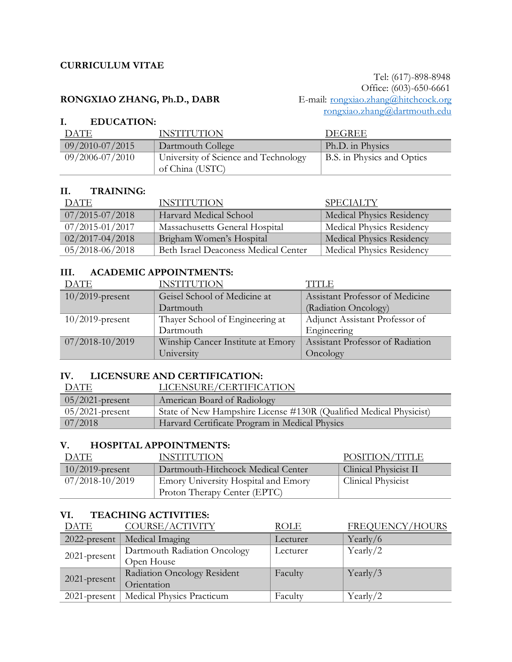### **CURRICULUM VITAE**

## RONGXIAO ZHANG, Ph.D., DABR

 Tel: (617)-898-8948 Office: (603)-650-6661<br>E-mail: <u>rongxiao.zhang@hitchcock.org</u> [rongxiao.zhang@dartmouth.edu](mailto:rongxiao.zhang@dartmouth.edu)

## **I. EDUCATION:**

| DATE                | <b>INSTITUTION</b>                                      | DEGREE                     |
|---------------------|---------------------------------------------------------|----------------------------|
| $09/2010 - 07/2015$ | Dartmouth College                                       | Ph.D. in Physics           |
| $09/2006 - 07/2010$ | University of Science and Technology<br>of China (USTC) | B.S. in Physics and Optics |

### **II. TRAINING:**

| DATE                | <b>INSTITUTION</b>                   | <b>SPECIALTY</b>                 |
|---------------------|--------------------------------------|----------------------------------|
| $07/2015 - 07/2018$ | Harvard Medical School               | <b>Medical Physics Residency</b> |
| $07/2015 - 01/2017$ | Massachusetts General Hospital       | <b>Medical Physics Residency</b> |
| $02/2017 - 04/2018$ | Brigham Women's Hospital             | <b>Medical Physics Residency</b> |
| $05/2018 - 06/2018$ | Beth Israel Deaconess Medical Center | Medical Physics Residency        |

### **III. ACADEMIC APPOINTMENTS:**

| DATE               | <b>INSTITUTION</b>                | ITTLE                            |
|--------------------|-----------------------------------|----------------------------------|
| $10/2019$ -present | Geisel School of Medicine at      | Assistant Professor of Medicine  |
|                    | Dartmouth                         | (Radiation Oncology)             |
| $10/2019$ -present | Thayer School of Engineering at   | Adjunct Assistant Professor of   |
|                    | Dartmouth                         | Engineering                      |
| 07/2018-10/2019    | Winship Cancer Institute at Emory | Assistant Professor of Radiation |
|                    | University                        | Oncology                         |

#### **IV. LICENSURE AND CERTIFICATION:**

| <b>DATE</b>        | LICENSURE/CERTIFICATION                                            |
|--------------------|--------------------------------------------------------------------|
| $05/2021$ -present | American Board of Radiology                                        |
| $05/2021$ -present | State of New Hampshire License #130R (Qualified Medical Physicist) |
| 07/2018            | Harvard Certificate Program in Medical Physics                     |

## **V. HOSPITAL APPOINTMENTS:**

| DATE                | <b>INSTITUTION</b>                         | POSITION/TITLE        |
|---------------------|--------------------------------------------|-----------------------|
| $10/2019$ -present  | Dartmouth-Hitchcock Medical Center         | Clinical Physicist II |
| $07/2018 - 10/2019$ | <b>Emory University Hospital and Emory</b> | Clinical Physicist    |
|                     | Proton Therapy Center (EPTC)               |                       |

#### **VI. TEACHING ACTIVITIES:**

| <b>DATE</b>     | COURSE/ACTIVITY              | <b>ROLE</b> | FREQUENCY/HOURS |
|-----------------|------------------------------|-------------|-----------------|
| $2022$ -present | Medical Imaging              | Lecturer    | Yearly/6        |
|                 | Dartmouth Radiation Oncology | Lecturer    | Yearly/2        |
| 2021-present    | Open House                   |             |                 |
|                 | Radiation Oncology Resident  | Faculty     | Yearly/3        |
| 2021-present    | Orientation                  |             |                 |
| $2021$ -present | Medical Physics Practicum    | Faculty     | Yearly/2        |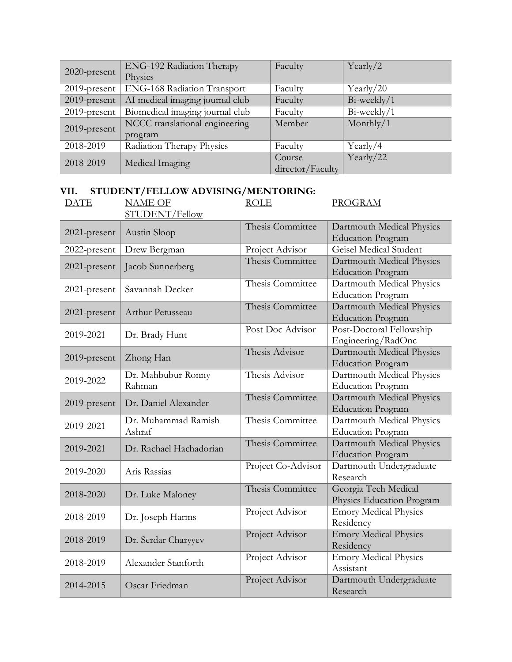|                 | ENG-192 Radiation Therapy       | Faculty          | Yearly/2       |
|-----------------|---------------------------------|------------------|----------------|
| 2020-present    | Physics                         |                  |                |
| 2019-present    | ENG-168 Radiation Transport     | Faculty          | Yearly/ $20$   |
| $2019$ -present | AI medical imaging journal club | Faculty          | $Bi$ -weekly/1 |
| 2019-present    | Biomedical imaging journal club | Faculty          | $Bi$ -weekly/1 |
| $2019$ -present | NCCC translational engineering  | Member           | Monthly/ $1$   |
|                 | program                         |                  |                |
| 2018-2019       | Radiation Therapy Physics       | Faculty          | Yearly/4       |
| 2018-2019       | Medical Imaging                 | Course           | Yearly/22      |
|                 |                                 | director/Faculty |                |

## **VII. STUDENT/FELLOW ADVISING/MENTORING:**<br>DATE NAME OF ROLE DATE NAME OF

STUDENT/Fellow

## **PROGRAM**

| 2021-present | Austin Sloop                  | Thesis Committee   | Dartmouth Medical Physics<br><b>Education Program</b> |
|--------------|-------------------------------|--------------------|-------------------------------------------------------|
| 2022-present | Drew Bergman                  | Project Advisor    | Geisel Medical Student                                |
| 2021-present | Jacob Sunnerberg              | Thesis Committee   | Dartmouth Medical Physics<br><b>Education Program</b> |
| 2021-present | Savannah Decker               | Thesis Committee   | Dartmouth Medical Physics<br><b>Education Program</b> |
| 2021-present | Arthur Petusseau              | Thesis Committee   | Dartmouth Medical Physics<br><b>Education Program</b> |
| 2019-2021    | Dr. Brady Hunt                | Post Doc Advisor   | Post-Doctoral Fellowship<br>Engineering/RadOnc        |
| 2019-present | Zhong Han                     | Thesis Advisor     | Dartmouth Medical Physics<br><b>Education Program</b> |
| 2019-2022    | Dr. Mahbubur Ronny<br>Rahman  | Thesis Advisor     | Dartmouth Medical Physics<br><b>Education Program</b> |
| 2019-present | Dr. Daniel Alexander          | Thesis Committee   | Dartmouth Medical Physics<br><b>Education Program</b> |
| 2019-2021    | Dr. Muhammad Ramish<br>Ashraf | Thesis Committee   | Dartmouth Medical Physics<br><b>Education Program</b> |
| 2019-2021    | Dr. Rachael Hachadorian       | Thesis Committee   | Dartmouth Medical Physics<br><b>Education Program</b> |
| 2019-2020    | Aris Rassias                  | Project Co-Advisor | Dartmouth Undergraduate<br>Research                   |
| 2018-2020    | Dr. Luke Maloney              | Thesis Committee   | Georgia Tech Medical<br>Physics Education Program     |
| 2018-2019    | Dr. Joseph Harms              | Project Advisor    | <b>Emory Medical Physics</b><br>Residency             |
| 2018-2019    | Dr. Serdar Charyyev           | Project Advisor    | <b>Emory Medical Physics</b><br>Residency             |
| 2018-2019    | Alexander Stanforth           | Project Advisor    | <b>Emory Medical Physics</b><br>Assistant             |
| 2014-2015    | Oscar Friedman                | Project Advisor    | Dartmouth Undergraduate<br>Research                   |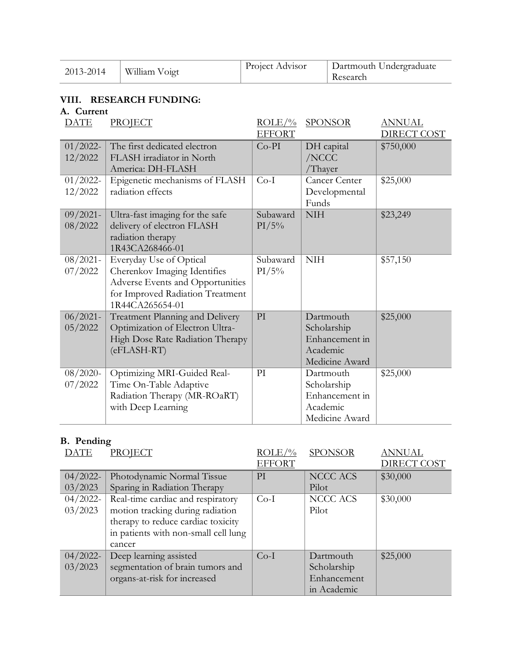| 2013-2014 | William Voigt | Project Advisor | Dartmouth Undergraduate<br>Research |
|-----------|---------------|-----------------|-------------------------------------|

## **VIII. RESEARCH FUNDING:**

### **A. Current**

| <b>DATE</b>            | PROJECT                                                                                                                                            | $ROLE/\%$         | <b>SPONSOR</b>                                                           | <b>ANNUAL</b>      |
|------------------------|----------------------------------------------------------------------------------------------------------------------------------------------------|-------------------|--------------------------------------------------------------------------|--------------------|
|                        |                                                                                                                                                    | <b>EFFORT</b>     |                                                                          | <b>DIRECT COST</b> |
| $01/2022$ -<br>12/2022 | The first dedicated electron<br>FLASH irradiator in North<br>America: DH-FLASH                                                                     | $Co-PI$           | DH capital<br>/NCCC<br>/Thayer                                           | \$750,000          |
| $01/2022$ -<br>12/2022 | Epigenetic mechanisms of FLASH<br>radiation effects                                                                                                | $Co-I$            | <b>Cancer Center</b><br>Developmental<br>Funds                           | \$25,000           |
| $09/2021 -$<br>08/2022 | Ultra-fast imaging for the safe<br>delivery of electron FLASH<br>radiation therapy<br>1R43CA268466-01                                              | Subaward<br>PI/5% | <b>NIH</b>                                                               | \$23,249           |
| $08/2021 -$<br>07/2022 | Everyday Use of Optical<br>Cherenkov Imaging Identifies<br>Adverse Events and Opportunities<br>for Improved Radiation Treatment<br>1R44CA265654-01 | Subaward<br>PI/5% | <b>NIH</b>                                                               | \$57,150           |
| $06/2021 -$<br>05/2022 | Treatment Planning and Delivery<br>Optimization of Electron Ultra-<br>High Dose Rate Radiation Therapy<br>(eFLASH-RT)                              | PI                | Dartmouth<br>Scholarship<br>Enhancement in<br>Academic<br>Medicine Award | \$25,000           |
| $08/2020$ -<br>07/2022 | Optimizing MRI-Guided Real-<br>Time On-Table Adaptive<br>Radiation Therapy (MR-ROaRT)<br>with Deep Learning                                        | PI                | Dartmouth<br>Scholarship<br>Enhancement in<br>Academic<br>Medicine Award | \$25,000           |

# **B. Pending**

| <b>DATE</b> | PROJECT                              | $ROLE/\%$     | <b>SPONSOR</b> | <b>ANNUAL</b>      |
|-------------|--------------------------------------|---------------|----------------|--------------------|
|             |                                      | <b>EFFORT</b> |                | <b>DIRECT COST</b> |
| $04/2022$ - | Photodynamic Normal Tissue           | PI            | NCCC ACS       | \$30,000           |
| 03/2023     | Sparing in Radiation Therapy         |               | Pilot          |                    |
| $04/2022$ - | Real-time cardiac and respiratory    | $Co-I$        | NCCC ACS       | \$30,000           |
| 03/2023     | motion tracking during radiation     |               | Pilot          |                    |
|             | therapy to reduce cardiac toxicity   |               |                |                    |
|             | in patients with non-small cell lung |               |                |                    |
|             | cancer                               |               |                |                    |
| $04/2022$ - | Deep learning assisted               | $Co-I$        | Dartmouth      | \$25,000           |
| 03/2023     | segmentation of brain tumors and     |               | Scholarship    |                    |
|             | organs-at-risk for increased         |               | Enhancement    |                    |
|             |                                      |               | in Academic    |                    |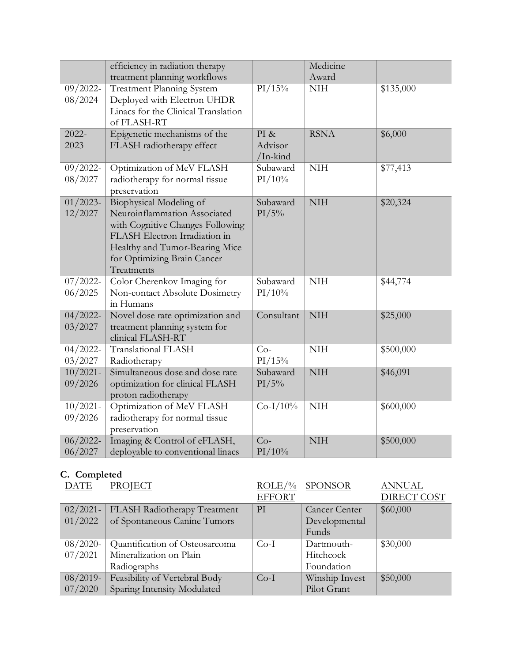|                                   | efficiency in radiation therapy<br>treatment planning workflows                                                                                                                                             |                             | Medicine<br>Award |                   |
|-----------------------------------|-------------------------------------------------------------------------------------------------------------------------------------------------------------------------------------------------------------|-----------------------------|-------------------|-------------------|
| $\overline{09/2022}$ -<br>08/2024 | <b>Treatment Planning System</b><br>Deployed with Electron UHDR<br>Linacs for the Clinical Translation<br>of FLASH-RT                                                                                       | $\overline{PI/15\%}$        | <b>NIH</b>        | \$135,000         |
| $2022 -$<br>2023                  | Epigenetic mechanisms of the<br>FLASH radiotherapy effect                                                                                                                                                   | PI &<br>Advisor<br>/In-kind | <b>RSNA</b>       | \$6,000           |
| $09/2022$ -<br>08/2027            | Optimization of MeV FLASH<br>radiotherapy for normal tissue<br>preservation                                                                                                                                 | Subaward<br>PI/10%          | <b>NIH</b>        | \$77,413          |
| $01/2023$ -<br>12/2027            | Biophysical Modeling of<br>Neuroinflammation Associated<br>with Cognitive Changes Following<br>FLASH Electron Irradiation in<br>Healthy and Tumor-Bearing Mice<br>for Optimizing Brain Cancer<br>Treatments | Subaward<br>PI/5%           | <b>NIH</b>        | \$20,324          |
| $\frac{1}{07}/2022$ -<br>06/2025  | Color Cherenkov Imaging for<br>Non-contact Absolute Dosimetry<br>in Humans                                                                                                                                  | Subaward<br>PI/10%          | <b>NIH</b>        | \$44,774          |
| $04/2022$ -<br>03/2027            | Novel dose rate optimization and<br>treatment planning system for<br>clinical FLASH-RT                                                                                                                      | Consultant                  | <b>NIH</b>        | \$25,000          |
| $04/2022$ -<br>03/2027            | Translational FLASH<br>Radiotherapy                                                                                                                                                                         | $Co-$<br>PI/15%             | <b>NIH</b>        | \$500,000         |
| $10/2021$ -<br>09/2026            | Simultaneous dose and dose rate<br>optimization for clinical FLASH<br>proton radiotherapy                                                                                                                   | Subaward<br>PI/5%           | <b>NIH</b>        | \$46,091          |
| $10/2021 -$<br>09/2026            | Optimization of MeV FLASH<br>radiotherapy for normal tissue<br>preservation                                                                                                                                 | $Co-I/10%$                  | <b>NIH</b>        | $\sqrt{$600,000}$ |
| $06/2022$ -<br>06/2027            | Imaging & Control of eFLASH,<br>deployable to conventional linacs                                                                                                                                           | $Co-$<br>PI/10%             | <b>NIH</b>        | \$500,000         |

# **C. Completed**

| <b>DATE</b> | <b>PROJECT</b>                 | $ROLE/\%$     | <b>SPONSOR</b>       | <b>ANNUAL</b>      |
|-------------|--------------------------------|---------------|----------------------|--------------------|
|             |                                | <b>EFFORT</b> |                      | <b>DIRECT COST</b> |
| $02/2021-$  | FLASH Radiotherapy Treatment   | PI            | <b>Cancer Center</b> | \$60,000           |
| 01/2022     | of Spontaneous Canine Tumors   |               | Developmental        |                    |
|             |                                |               | Funds                |                    |
| $08/2020$ - | Quantification of Osteosarcoma | $Co-I$        | Dartmouth-           | \$30,000           |
| 07/2021     | Mineralization on Plain        |               | Hitchcock            |                    |
|             | Radiographs                    |               | Foundation           |                    |
| $08/2019 -$ | Feasibility of Vertebral Body  | $Co-I$        | Winship Invest       | \$50,000           |
| 07/2020     | Sparing Intensity Modulated    |               | Pilot Grant          |                    |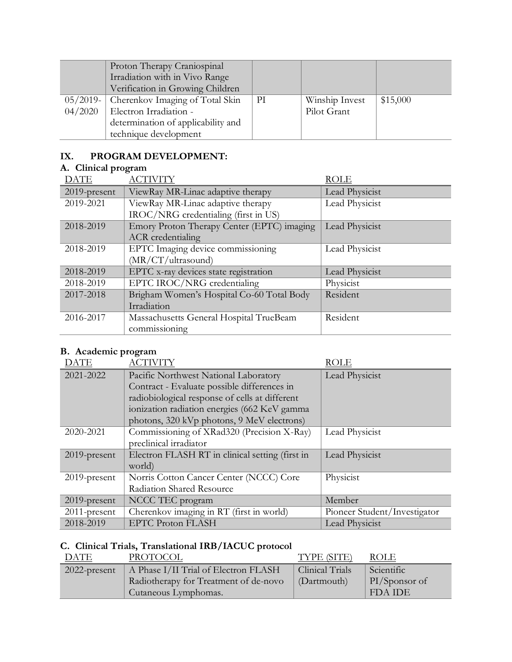|             | Proton Therapy Craniospinal<br>Irradiation with in Vivo Range<br>Verification in Growing Children |    |                |          |
|-------------|---------------------------------------------------------------------------------------------------|----|----------------|----------|
| $05/2019$ - | Cherenkov Imaging of Total Skin                                                                   | PI | Winship Invest | \$15,000 |
| 04/2020     | Electron Irradiation -                                                                            |    | Pilot Grant    |          |
|             | determination of applicability and                                                                |    |                |          |
|             | technique development                                                                             |    |                |          |

# **IX. PROGRAM DEVELOPMENT:**

# **A. Clinical program**

| <b>DATE</b>     | <b>ACTIVITY</b>                            | <b>ROLE</b>    |
|-----------------|--------------------------------------------|----------------|
| $2019$ -present | ViewRay MR-Linac adaptive therapy          | Lead Physicist |
| 2019-2021       | ViewRay MR-Linac adaptive therapy          | Lead Physicist |
|                 | IROC/NRG credentialing (first in US)       |                |
| 2018-2019       | Emory Proton Therapy Center (EPTC) imaging | Lead Physicist |
|                 | <b>ACR</b> credentialing                   |                |
| 2018-2019       | EPTC Imaging device commissioning          | Lead Physicist |
|                 | (MR/CT/ultrasound)                         |                |
| 2018-2019       | EPTC x-ray devices state registration      | Lead Physicist |
| 2018-2019       | EPTC IROC/NRG credentialing                | Physicist      |
| 2017-2018       | Brigham Women's Hospital Co-60 Total Body  | Resident       |
|                 | Irradiation                                |                |
| 2016-2017       | Massachusetts General Hospital TrueBeam    | Resident       |
|                 | commissioning                              |                |

# **B. Academic program**

| <b>DATE</b>     | <b>ACTIVITY</b>                                 | ROLE                         |
|-----------------|-------------------------------------------------|------------------------------|
| 2021-2022       | Pacific Northwest National Laboratory           | Lead Physicist               |
|                 | Contract - Evaluate possible differences in     |                              |
|                 | radiobiological response of cells at different  |                              |
|                 | ionization radiation energies (662 KeV gamma    |                              |
|                 | photons, 320 kVp photons, 9 MeV electrons)      |                              |
| 2020-2021       | Commissioning of XRad320 (Precision X-Ray)      | Lead Physicist               |
|                 | preclinical irradiator                          |                              |
| $2019$ -present | Electron FLASH RT in clinical setting (first in | Lead Physicist               |
|                 | world)                                          |                              |
| $2019$ -present | Norris Cotton Cancer Center (NCCC) Core         | Physicist                    |
|                 | Radiation Shared Resource                       |                              |
| $2019$ -present | NCCC TEC program                                | Member                       |
| $2011$ -present | Cherenkov imaging in RT (first in world)        | Pioneer Student/Investigator |
| 2018-2019       | <b>EPTC Proton FLASH</b>                        | Lead Physicist               |

# **C. Clinical Trials, Translational IRB/IACUC protocol**

| DATE            | PROTOCOL                              | TYPE (SITE)     | ROLE          |
|-----------------|---------------------------------------|-----------------|---------------|
| $2022$ -present | A Phase I/II Trial of Electron FLASH  | Clinical Trials | Scientific    |
|                 | Radiotherapy for Treatment of de-novo | (Dartmouth)     | PI/Sponsor of |
|                 | Cutaneous Lymphomas.                  |                 | FDA IDE       |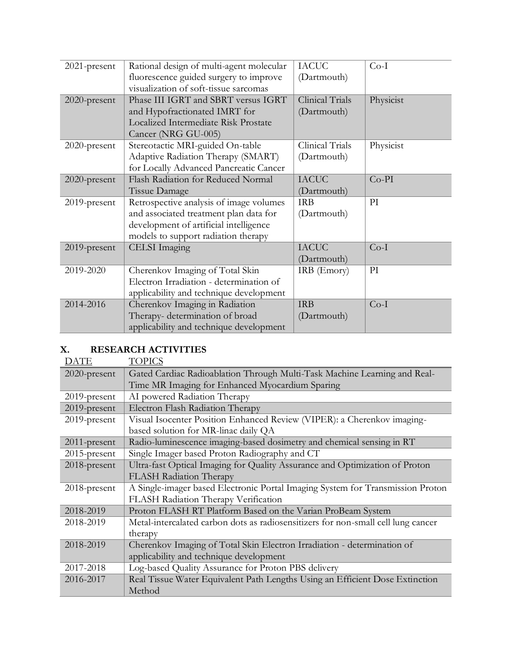| Physicist |
|-----------|
|           |
|           |
|           |
| Physicist |
|           |
|           |
|           |
|           |
|           |
|           |
|           |
|           |
|           |
|           |
|           |
|           |
|           |
|           |
|           |
|           |
|           |

# **X. RESEARCH ACTIVITIES**

| <b>DATE</b>     | <b>TOPICS</b>                                                                     |
|-----------------|-----------------------------------------------------------------------------------|
| $2020$ -present | Gated Cardiac Radioablation Through Multi-Task Machine Learning and Real-         |
|                 | Time MR Imaging for Enhanced Myocardium Sparing                                   |
| $2019$ -present | AI powered Radiation Therapy                                                      |
| 2019-present    | Electron Flash Radiation Therapy                                                  |
| 2019-present    | Visual Isocenter Position Enhanced Review (VIPER): a Cherenkov imaging-           |
|                 | based solution for MR-linac daily QA                                              |
| 2011-present    | Radio-luminescence imaging-based dosimetry and chemical sensing in RT             |
| $2015$ -present | Single Imager based Proton Radiography and CT                                     |
| 2018-present    | Ultra-fast Optical Imaging for Quality Assurance and Optimization of Proton       |
|                 | <b>FLASH Radiation Therapy</b>                                                    |
| 2018-present    | A Single-imager based Electronic Portal Imaging System for Transmission Proton    |
|                 | FLASH Radiation Therapy Verification                                              |
| 2018-2019       | Proton FLASH RT Platform Based on the Varian ProBeam System                       |
| 2018-2019       | Metal-intercalated carbon dots as radiosensitizers for non-small cell lung cancer |
|                 | therapy                                                                           |
| 2018-2019       | Cherenkov Imaging of Total Skin Electron Irradiation - determination of           |
|                 | applicability and technique development                                           |
| 2017-2018       | Log-based Quality Assurance for Proton PBS delivery                               |
| 2016-2017       | Real Tissue Water Equivalent Path Lengths Using an Efficient Dose Extinction      |
|                 | Method                                                                            |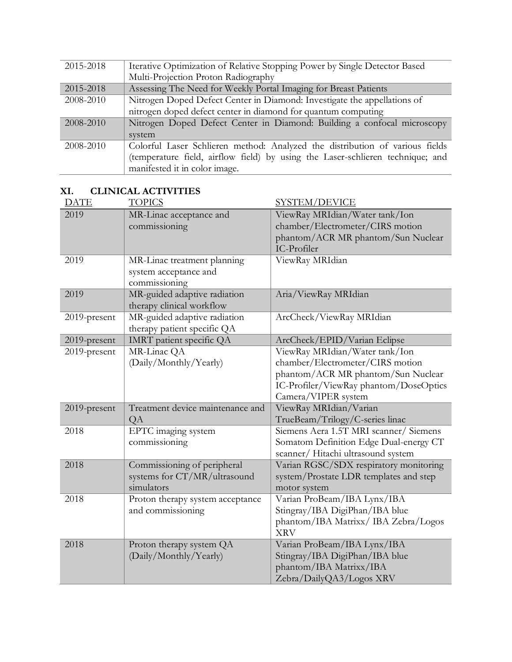| 2015-2018 | Iterative Optimization of Relative Stopping Power by Single Detector Based     |
|-----------|--------------------------------------------------------------------------------|
|           | Multi-Projection Proton Radiography                                            |
| 2015-2018 | Assessing The Need for Weekly Portal Imaging for Breast Patients               |
| 2008-2010 | Nitrogen Doped Defect Center in Diamond: Investigate the appellations of       |
|           | nitrogen doped defect center in diamond for quantum computing                  |
| 2008-2010 | Nitrogen Doped Defect Center in Diamond: Building a confocal microscopy        |
|           | system                                                                         |
| 2008-2010 | Colorful Laser Schlieren method: Analyzed the distribution of various fields   |
|           | (temperature field, airflow field) by using the Laser-schlieren technique; and |
|           | manifested it in color image.                                                  |

# **XI. CLINICAL ACTIVITIES**

| <b>DATE</b>  | <b>TOPICS</b>                                                             | <b>SYSTEM/DEVICE</b>                                                                                                                                                      |
|--------------|---------------------------------------------------------------------------|---------------------------------------------------------------------------------------------------------------------------------------------------------------------------|
| 2019         | MR-Linac acceptance and<br>commissioning                                  | ViewRay MRIdian/Water tank/Ion<br>chamber/Electrometer/CIRS motion<br>phantom/ACR MR phantom/Sun Nuclear<br>IC-Profiler                                                   |
| 2019         | MR-Linac treatment planning<br>system acceptance and<br>commissioning     | ViewRay MRIdian                                                                                                                                                           |
| 2019         | MR-guided adaptive radiation<br>therapy clinical workflow                 | Aria/ViewRay MRIdian                                                                                                                                                      |
| 2019-present | MR-guided adaptive radiation<br>therapy patient specific QA               | ArcCheck/ViewRay MRIdian                                                                                                                                                  |
| 2019-present | IMRT patient specific QA                                                  | ArcCheck/EPID/Varian Eclipse                                                                                                                                              |
| 2019-present | MR-Linac QA<br>(Daily/Monthly/Yearly)                                     | ViewRay MRIdian/Water tank/Ion<br>chamber/Electrometer/CIRS motion<br>phantom/ACR MR phantom/Sun Nuclear<br>IC-Profiler/ViewRay phantom/DoseOptics<br>Camera/VIPER system |
| 2019-present | Treatment device maintenance and<br>QA                                    | ViewRay MRIdian/Varian<br>TrueBeam/Trilogy/C-series linac                                                                                                                 |
| 2018         | EPTC imaging system<br>commissioning                                      | Siemens Aera 1.5T MRI scanner/ Siemens<br>Somatom Definition Edge Dual-energy CT<br>scanner/Hitachi ultrasound system                                                     |
| 2018         | Commissioning of peripheral<br>systems for CT/MR/ultrasound<br>simulators | Varian RGSC/SDX respiratory monitoring<br>system/Prostate LDR templates and step<br>motor system                                                                          |
| 2018         | Proton therapy system acceptance<br>and commissioning                     | Varian ProBeam/IBA Lynx/IBA<br>Stingray/IBA DigiPhan/IBA blue<br>phantom/IBA Matrixx/IBA Zebra/Logos<br><b>XRV</b>                                                        |
| 2018         | Proton therapy system QA<br>(Daily/Monthly/Yearly)                        | Varian ProBeam/IBA Lynx/IBA<br>Stingray/IBA DigiPhan/IBA blue<br>phantom/IBA Matrixx/IBA<br>Zebra/DailyQA3/Logos XRV                                                      |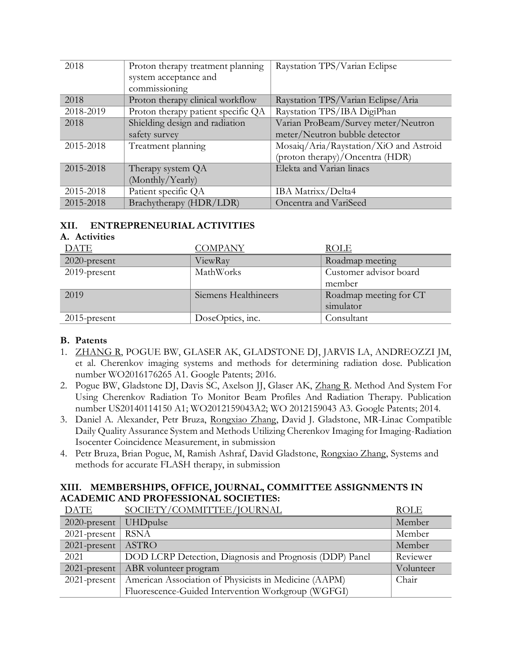| 2018      | Proton therapy treatment planning  | Raystation TPS/Varian Eclipse          |
|-----------|------------------------------------|----------------------------------------|
|           | system acceptance and              |                                        |
|           | commissioning                      |                                        |
| 2018      | Proton therapy clinical workflow   | Raystation TPS/Varian Eclipse/Aria     |
| 2018-2019 | Proton therapy patient specific QA | Raystation TPS/IBA DigiPhan            |
| 2018      | Shielding design and radiation     | Varian ProBeam/Survey meter/Neutron    |
|           | safety survey                      | meter/Neutron bubble detector          |
| 2015-2018 | Treatment planning                 | Mosaiq/Aria/Raystation/XiO and Astroid |
|           |                                    | (proton therapy)/Oncentra (HDR)        |
| 2015-2018 | Therapy system QA                  | Elekta and Varian linacs               |
|           | (Monthly/Yearly)                   |                                        |
| 2015-2018 | Patient specific QA                | IBA Matrixx/Delta4                     |
| 2015-2018 | Brachytherapy (HDR/LDR)            | Oncentra and VariSeed                  |

### **XII. ENTREPRENEURIAL ACTIVITIES**

#### **A. Activities**

| <b>DATE</b>     | <b>COMPANY</b>       | <b>ROLE</b>            |
|-----------------|----------------------|------------------------|
| $2020$ -present | ViewRay              | Roadmap meeting        |
| $2019$ -present | MathWorks            | Customer advisor board |
|                 |                      | member                 |
| 2019            | Siemens Healthineers | Roadmap meeting for CT |
|                 |                      | simulator              |
| $2015$ -present | DoseOptics, inc.     | Consultant             |

#### **B. Patents**

- 1. ZHANG R, POGUE BW, GLASER AK, GLADSTONE DJ, JARVIS LA, ANDREOZZI JM, et al. Cherenkov imaging systems and methods for determining radiation dose. Publication number WO2016176265 A1. Google Patents; 2016.
- 2. Pogue BW, Gladstone DJ, Davis SC, Axelson JJ, Glaser AK, Zhang R. Method And System For Using Cherenkov Radiation To Monitor Beam Profiles And Radiation Therapy. Publication number US20140114150 A1; WO2012159043A2; WO 2012159043 A3. Google Patents; 2014.
- 3. Daniel A. Alexander, Petr Bruza, Rongxiao Zhang, David J. Gladstone, MR-Linac Compatible Daily Quality Assurance System and Methods Utilizing Cherenkov Imaging for Imaging-Radiation Isocenter Coincidence Measurement, in submission
- 4. Petr Bruza, Brian Pogue, M, Ramish Ashraf, David Gladstone, Rongxiao Zhang, Systems and methods for accurate FLASH therapy, in submission

### **XIII. MEMBERSHIPS, OFFICE, JOURNAL, COMMITTEE ASSIGNMENTS IN ACADEMIC AND PROFESSIONAL SOCIETIES:**

| <b>DATE</b>     | SOCIETY/COMMITTEE/JOURNAL                               | <b>ROLE</b> |
|-----------------|---------------------------------------------------------|-------------|
| 2020-present    | <b>UHDpulse</b>                                         | Member      |
| $2021$ -present | <b>RSNA</b>                                             | Member      |
| $2021$ -present | ASTRO                                                   | Member      |
| 2021            | DOD LCRP Detection, Diagnosis and Prognosis (DDP) Panel | Reviewer    |
|                 | 2021-present   ABR volunteer program                    | Volunteer   |
| $2021$ -present | American Association of Physicists in Medicine (AAPM)   | Chair       |
|                 | Fluorescence-Guided Intervention Workgroup (WGFGI)      |             |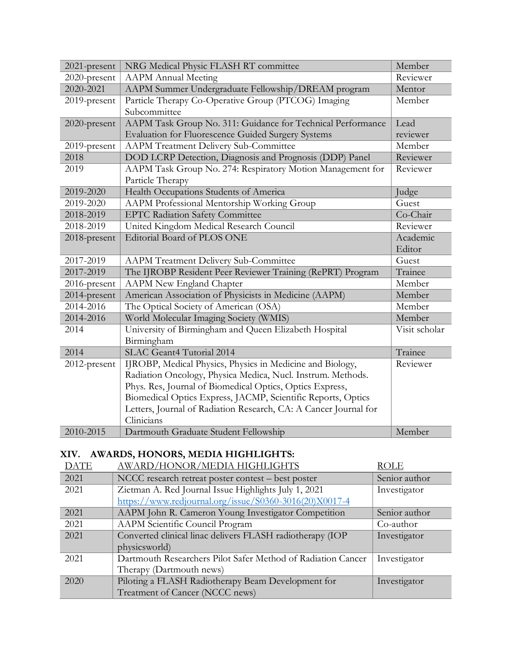| 2021-present | NRG Medical Physic FLASH RT committee                            | Member        |
|--------------|------------------------------------------------------------------|---------------|
| 2020-present | <b>AAPM</b> Annual Meeting                                       | Reviewer      |
| 2020-2021    | AAPM Summer Undergraduate Fellowship/DREAM program               | Mentor        |
| 2019-present | Particle Therapy Co-Operative Group (PTCOG) Imaging              |               |
|              | Subcommittee                                                     |               |
| 2020-present | AAPM Task Group No. 311: Guidance for Technical Performance      | Lead          |
|              | Evaluation for Fluorescence Guided Surgery Systems               | reviewer      |
| 2019-present | <b>AAPM Treatment Delivery Sub-Committee</b>                     | Member        |
| 2018         | DOD LCRP Detection, Diagnosis and Prognosis (DDP) Panel          | Reviewer      |
| 2019         | AAPM Task Group No. 274: Respiratory Motion Management for       | Reviewer      |
|              | Particle Therapy                                                 |               |
| 2019-2020    | Health Occupations Students of America                           | Judge         |
| 2019-2020    | AAPM Professional Mentorship Working Group                       | Guest         |
| 2018-2019    | <b>EPTC Radiation Safety Committee</b>                           | Co-Chair      |
| 2018-2019    | United Kingdom Medical Research Council                          | Reviewer      |
| 2018-present | Editorial Board of PLOS ONE                                      | Academic      |
|              |                                                                  | Editor        |
| 2017-2019    | <b>AAPM Treatment Delivery Sub-Committee</b>                     | Guest         |
| 2017-2019    | The IJROBP Resident Peer Reviewer Training (RePRT) Program       | Trainee       |
| 2016-present | <b>AAPM New England Chapter</b>                                  | Member        |
| 2014-present | American Association of Physicists in Medicine (AAPM)            | Member        |
| 2014-2016    | The Optical Society of American (OSA)                            | Member        |
| 2014-2016    | World Molecular Imaging Society (WMIS)                           | Member        |
| 2014         | University of Birmingham and Queen Elizabeth Hospital            | Visit scholar |
|              | Birmingham                                                       |               |
| 2014         | SLAC Geant4 Tutorial 2014                                        | Trainee       |
| 2012-present | IJROBP, Medical Physics, Physics in Medicine and Biology,        | Reviewer      |
|              | Radiation Oncology, Physica Medica, Nucl. Instrum. Methods.      |               |
|              | Phys. Res, Journal of Biomedical Optics, Optics Express,         |               |
|              | Biomedical Optics Express, JACMP, Scientific Reports, Optics     |               |
|              | Letters, Journal of Radiation Research, CA: A Cancer Journal for |               |
|              | Clinicians                                                       |               |
| 2010-2015    | Dartmouth Graduate Student Fellowship                            | Member        |

# **XIV. AWARDS, HONORS, MEDIA HIGHLIGHTS:**

| <b>DATE</b> | AWARD/HONOR/MEDIA HIGHLIGHTS                                 | <b>ROLE</b>   |
|-------------|--------------------------------------------------------------|---------------|
| 2021        | NCCC research retreat poster contest - best poster           | Senior author |
| 2021        | Zietman A. Red Journal Issue Highlights July 1, 2021         | Investigator  |
|             | https://www.redjournal.org/issue/S0360-3016(20)X0017-4       |               |
| 2021        | AAPM John R. Cameron Young Investigator Competition          | Senior author |
| 2021        | AAPM Scientific Council Program                              | Co-author     |
| 2021        | Converted clinical linac delivers FLASH radiotherapy (IOP    | Investigator  |
|             | physicsworld)                                                |               |
| 2021        | Dartmouth Researchers Pilot Safer Method of Radiation Cancer | Investigator  |
|             | Therapy (Dartmouth news)                                     |               |
| 2020        | Piloting a FLASH Radiotherapy Beam Development for           | Investigator  |
|             | Treatment of Cancer (NCCC news)                              |               |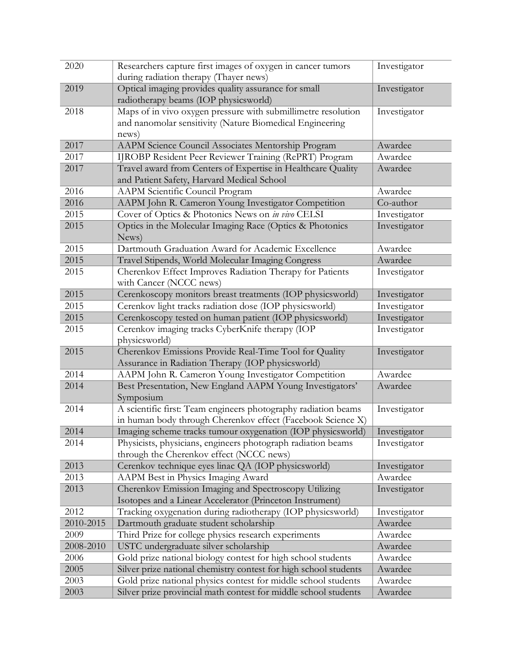| 2020      | Researchers capture first images of oxygen in cancer tumors                                   | Investigator |
|-----------|-----------------------------------------------------------------------------------------------|--------------|
|           | during radiation therapy (Thayer news)                                                        |              |
| 2019      | Optical imaging provides quality assurance for small<br>radiotherapy beams (IOP physicsworld) | Investigator |
| 2018      | Maps of in vivo oxygen pressure with submillimetre resolution                                 | Investigator |
|           | and nanomolar sensitivity (Nature Biomedical Engineering                                      |              |
|           | news)                                                                                         |              |
| 2017      | AAPM Science Council Associates Mentorship Program                                            | Awardee      |
| 2017      | IJROBP Resident Peer Reviewer Training (RePRT) Program                                        | Awardee      |
| 2017      | Travel award from Centers of Expertise in Healthcare Quality                                  | Awardee      |
|           | and Patient Safety, Harvard Medical School                                                    |              |
| 2016      | AAPM Scientific Council Program                                                               | Awardee      |
| 2016      | AAPM John R. Cameron Young Investigator Competition                                           | Co-author    |
| 2015      | Cover of Optics & Photonics News on in vivo CELSI                                             | Investigator |
| 2015      | Optics in the Molecular Imaging Race (Optics & Photonics<br>News)                             | Investigator |
| 2015      | Dartmouth Graduation Award for Academic Excellence                                            | Awardee      |
| 2015      | Travel Stipends, World Molecular Imaging Congress                                             | Awardee      |
| 2015      | Cherenkov Effect Improves Radiation Therapy for Patients                                      | Investigator |
|           | with Cancer (NCCC news)                                                                       |              |
| 2015      | Cerenkoscopy monitors breast treatments (IOP physicsworld)                                    | Investigator |
| 2015      | Cerenkov light tracks radiation dose (IOP physicsworld)                                       | Investigator |
| 2015      | Cerenkoscopy tested on human patient (IOP physicsworld)                                       | Investigator |
| 2015      | Cerenkov imaging tracks CyberKnife therapy (IOP<br>physicsworld)                              | Investigator |
| 2015      | Cherenkov Emissions Provide Real-Time Tool for Quality                                        | Investigator |
|           | Assurance in Radiation Therapy (IOP physicsworld)                                             |              |
| 2014      | AAPM John R. Cameron Young Investigator Competition                                           | Awardee      |
| 2014      | Best Presentation, New England AAPM Young Investigators'                                      | Awardee      |
|           | Symposium                                                                                     |              |
| 2014      | A scientific first: Team engineers photography radiation beams                                | Investigator |
|           | in human body through Cherenkov effect (Facebook Science X)                                   |              |
| 2014      | Imaging scheme tracks tumour oxygenation (IOP physicsworld)                                   | Investigator |
| 2014      | Physicists, physicians, engineers photograph radiation beams                                  | Investigator |
|           | through the Cherenkov effect (NCCC news)                                                      |              |
| 2013      | Cerenkov technique eyes linac QA (IOP physicsworld)                                           | Investigator |
| 2013      | AAPM Best in Physics Imaging Award                                                            | Awardee      |
| 2013      | Cherenkov Emission Imaging and Spectroscopy Utilizing                                         | Investigator |
|           | Isotopes and a Linear Accelerator (Princeton Instrument)                                      |              |
| 2012      | Tracking oxygenation during radiotherapy (IOP physicsworld)                                   | Investigator |
| 2010-2015 | Dartmouth graduate student scholarship                                                        | Awardee      |
| 2009      | Third Prize for college physics research experiments                                          | Awardee      |
| 2008-2010 | USTC undergraduate silver scholarship                                                         | Awardee      |
| 2006      | Gold prize national biology contest for high school students                                  | Awardee      |
| 2005      | Silver prize national chemistry contest for high school students                              | Awardee      |
| 2003      | Gold prize national physics contest for middle school students                                | Awardee      |
| 2003      | Silver prize provincial math contest for middle school students                               | Awardee      |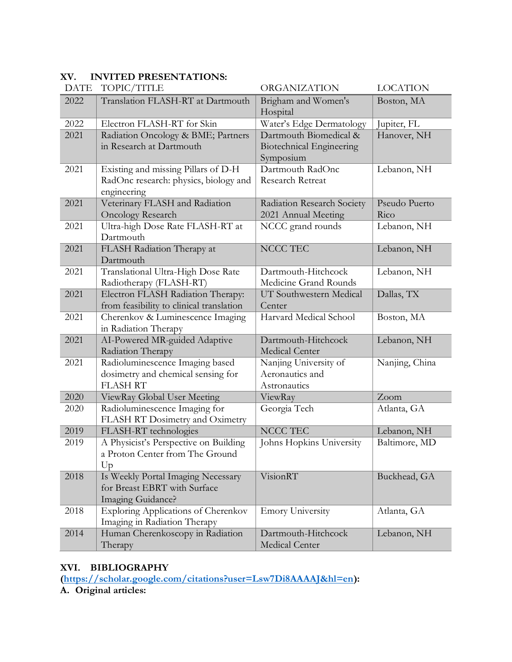| <b>DATE</b> | TOPIC/TITLE                                                                                 | ORGANIZATION                                                           | <b>LOCATION</b>       |
|-------------|---------------------------------------------------------------------------------------------|------------------------------------------------------------------------|-----------------------|
| 2022        | Translation FLASH-RT at Dartmouth                                                           | Brigham and Women's<br>Hospital                                        | Boston, MA            |
| 2022        | Electron FLASH-RT for Skin                                                                  | Water's Edge Dermatology                                               | Jupiter, FL           |
| 2021        | Radiation Oncology & BME; Partners<br>in Research at Dartmouth                              | Dartmouth Biomedical &<br><b>Biotechnical Engineering</b><br>Symposium | Hanover, NH           |
| 2021        | Existing and missing Pillars of D-H<br>RadOnc research: physics, biology and<br>engineering | Dartmouth RadOnc<br>Research Retreat                                   | Lebanon, NH           |
| 2021        | Veterinary FLASH and Radiation<br><b>Oncology Research</b>                                  | Radiation Research Society<br>2021 Annual Meeting                      | Pseudo Puerto<br>Rico |
| 2021        | Ultra-high Dose Rate FLASH-RT at<br>Dartmouth                                               | NCCC grand rounds                                                      | Lebanon, NH           |
| 2021        | FLASH Radiation Therapy at<br>Dartmouth                                                     | NCCC TEC                                                               | Lebanon, NH           |
| 2021        | Translational Ultra-High Dose Rate<br>Radiotherapy (FLASH-RT)                               | Dartmouth-Hitchcock<br>Medicine Grand Rounds                           | Lebanon, NH           |
| 2021        | Electron FLASH Radiation Therapy:<br>from feasibility to clinical translation               | UT Southwestern Medical<br>Center                                      | Dallas, TX            |
| 2021        | Cherenkov & Luminescence Imaging<br>in Radiation Therapy                                    | Harvard Medical School                                                 | Boston, MA            |
| 2021        | AI-Powered MR-guided Adaptive<br>Radiation Therapy                                          | Dartmouth-Hitchcock<br><b>Medical Center</b>                           | Lebanon, NH           |
| 2021        | Radioluminescence Imaging based<br>dosimetry and chemical sensing for<br><b>FLASH RT</b>    | Nanjing University of<br>Aeronautics and<br>Astronautics               | Nanjing, China        |
| 2020        | ViewRay Global User Meeting                                                                 | ViewRay                                                                | Zoom                  |
| 2020        | Radioluminescence Imaging for<br>FLASH RT Dosimetry and Oximetry                            | Georgia Tech                                                           | Atlanta, GA           |
| 2019        | FLASH-RT technologies                                                                       | NCCC TEC                                                               | Lebanon, NH           |
| 2019        | A Physicist's Perspective on Building<br>a Proton Center from The Ground<br>Up              | Johns Hopkins University                                               | Baltimore, MD         |
| 2018        | Is Weekly Portal Imaging Necessary<br>for Breast EBRT with Surface<br>Imaging Guidance?     | VisionRT                                                               | Buckhead, GA          |
| 2018        | <b>Exploring Applications of Cherenkov</b><br>Imaging in Radiation Therapy                  | <b>Emory University</b>                                                | Atlanta, GA           |
| 2014        | Human Cherenkoscopy in Radiation<br>Therapy                                                 | Dartmouth-Hitchcock<br>Medical Center                                  | Lebanon, NH           |

### **XV. INVITED PRESENTATIONS:**

# **XVI. BIBLIOGRAPHY**

**[\(https://scholar.google.com/citations?user=Lsw7Di8AAAAJ&hl=en\)](https://scholar.google.com/citations?user=Lsw7Di8AAAAJ&hl=en):**

**A. Original articles:**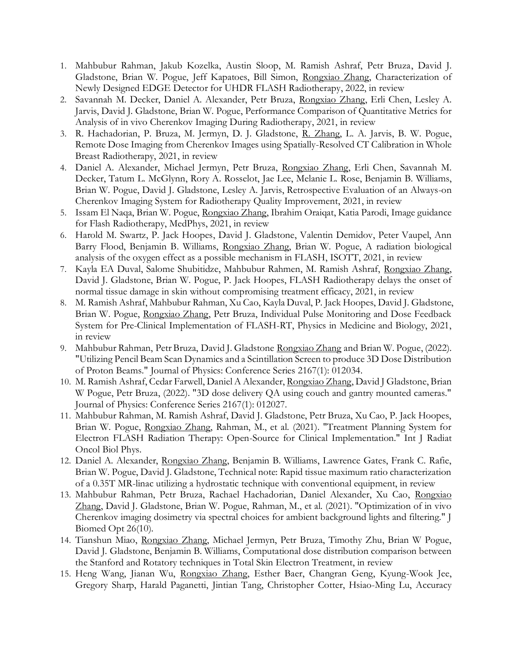- 1. Mahbubur Rahman, Jakub Kozelka, Austin Sloop, M. Ramish Ashraf, Petr Bruza, David J. Gladstone, Brian W. Pogue, Jeff Kapatoes, Bill Simon, Rongxiao Zhang, Characterization of Newly Designed EDGE Detector for UHDR FLASH Radiotherapy, 2022, in review
- 2. Savannah M. Decker, Daniel A. Alexander, Petr Bruza, Rongxiao Zhang, Erli Chen, Lesley A. Jarvis, David J. Gladstone, Brian W. Pogue, Performance Comparison of Quantitative Metrics for Analysis of in vivo Cherenkov Imaging During Radiotherapy, 2021, in review
- 3. R. Hachadorian, P. Bruza, M. Jermyn, D. J. Gladstone, R. Zhang, L. A. Jarvis, B. W. Pogue, Remote Dose Imaging from Cherenkov Images using Spatially-Resolved CT Calibration in Whole Breast Radiotherapy, 2021, in review
- 4. Daniel A. Alexander, Michael Jermyn, Petr Bruza, Rongxiao Zhang, Erli Chen, Savannah M. Decker, Tatum L. McGlynn, Rory A. Rosselot, Jae Lee, Melanie L. Rose, Benjamin B. Williams, Brian W. Pogue, David J. Gladstone, Lesley A. Jarvis, Retrospective Evaluation of an Always-on Cherenkov Imaging System for Radiotherapy Quality Improvement, 2021, in review
- 5. Issam El Naqa, Brian W. Pogue, Rongxiao Zhang, Ibrahim Oraiqat, Katia Parodi, Image guidance for Flash Radiotherapy, MedPhys, 2021, in review
- 6. Harold M. Swartz, P. Jack Hoopes, David J. Gladstone, Valentin Demidov, Peter Vaupel, Ann Barry Flood, Benjamin B. Williams, Rongxiao Zhang, Brian W. Pogue, A radiation biological analysis of the oxygen effect as a possible mechanism in FLASH, ISOTT, 2021, in review
- 7. Kayla EA Duval, Salome Shubitidze, Mahbubur Rahmen, M. Ramish Ashraf, Rongxiao Zhang, David J. Gladstone, Brian W. Pogue, P. Jack Hoopes, FLASH Radiotherapy delays the onset of normal tissue damage in skin without compromising treatment efficacy, 2021, in review
- 8. M. Ramish Ashraf, Mahbubur Rahman, Xu Cao, Kayla Duval, P. Jack Hoopes, David J. Gladstone, Brian W. Pogue, Rongxiao Zhang, Petr Bruza, Individual Pulse Monitoring and Dose Feedback System for Pre-Clinical Implementation of FLASH-RT, Physics in Medicine and Biology, 2021, in review
- 9. Mahbubur Rahman, Petr Bruza, David J. Gladstone Rongxiao Zhang and Brian W. Pogue, (2022). "Utilizing Pencil Beam Scan Dynamics and a Scintillation Screen to produce 3D Dose Distribution of Proton Beams." Journal of Physics: Conference Series 2167(1): 012034.
- 10. M. Ramish Ashraf, Cedar Farwell, Daniel A Alexander, Rongxiao Zhang, David J Gladstone, Brian W Pogue, Petr Bruza, (2022). "3D dose delivery QA using couch and gantry mounted cameras." Journal of Physics: Conference Series 2167(1): 012027.
- 11. Mahbubur Rahman, M. Ramish Ashraf, David J. Gladstone, Petr Bruza, Xu Cao, P. Jack Hoopes, Brian W. Pogue, Rongxiao Zhang, Rahman, M., et al. (2021). "Treatment Planning System for Electron FLASH Radiation Therapy: Open-Source for Clinical Implementation." Int J Radiat Oncol Biol Phys.
- 12. Daniel A. Alexander, Rongxiao Zhang, Benjamin B. Williams, Lawrence Gates, Frank C. Rafie, Brian W. Pogue, David J. Gladstone, Technical note: Rapid tissue maximum ratio characterization of a 0.35T MR-linac utilizing a hydrostatic technique with conventional equipment, in review
- 13. Mahbubur Rahman, Petr Bruza, Rachael Hachadorian, Daniel Alexander, Xu Cao, Rongxiao Zhang, David J. Gladstone, Brian W. Pogue, Rahman, M., et al. (2021). "Optimization of in vivo Cherenkov imaging dosimetry via spectral choices for ambient background lights and filtering." J Biomed Opt 26(10).
- 14. Tianshun Miao, Rongxiao Zhang, Michael Jermyn, Petr Bruza, Timothy Zhu, Brian W Pogue, David J. Gladstone, Benjamin B. Williams, Computational dose distribution comparison between the Stanford and Rotatory techniques in Total Skin Electron Treatment, in review
- 15. Heng Wang, Jianan Wu, Rongxiao Zhang, Esther Baer, Changran Geng, Kyung-Wook Jee, Gregory Sharp, Harald Paganetti, Jintian Tang, Christopher Cotter, Hsiao-Ming Lu, Accuracy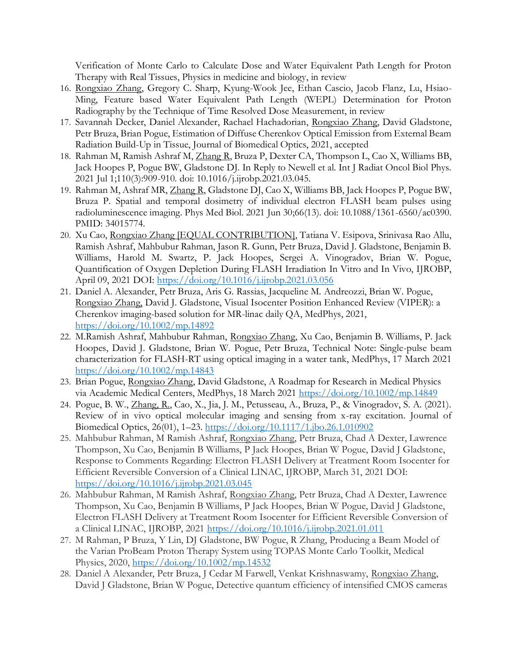Verification of Monte Carlo to Calculate Dose and Water Equivalent Path Length for Proton Therapy with Real Tissues, Physics in medicine and biology, in review

- 16. Rongxiao Zhang, Gregory C. Sharp, Kyung-Wook Jee, Ethan Cascio, Jacob Flanz, Lu, Hsiao-Ming, Feature based Water Equivalent Path Length (WEPL) Determination for Proton Radiography by the Technique of Time Resolved Dose Measurement, in review
- 17. Savannah Decker, Daniel Alexander, Rachael Hachadorian, Rongxiao Zhang, David Gladstone, Petr Bruza, Brian Pogue, Estimation of Diffuse Cherenkov Optical Emission from External Beam Radiation Build-Up in Tissue, Journal of Biomedical Optics, 2021, accepted
- 18. Rahman M, Ramish Ashraf M, Zhang R, Bruza P, Dexter CA, Thompson L, Cao X, Williams BB, Jack Hoopes P, Pogue BW, Gladstone DJ. In Reply to Newell et al. Int J Radiat Oncol Biol Phys. 2021 Jul 1;110(3):909-910. doi: 10.1016/j.ijrobp.2021.03.045.
- 19. Rahman M, Ashraf MR, Zhang R, Gladstone DJ, Cao X, Williams BB, Jack Hoopes P, Pogue BW, Bruza P. Spatial and temporal dosimetry of individual electron FLASH beam pulses using radioluminescence imaging. Phys Med Biol. 2021 Jun 30;66(13). doi: 10.1088/1361-6560/ac0390. PMID: 34015774.
- 20. Xu Cao, Rongxiao Zhang [EQUAL CONTRIBUTION], Tatiana V. Esipova, Srinivasa Rao Allu, Ramish Ashraf, Mahbubur Rahman, Jason R. Gunn, Petr Bruza, David J. Gladstone, Benjamin B. Williams, Harold M. Swartz, P. Jack Hoopes, Sergei A. Vinogradov, Brian W. Pogue, Quantification of Oxygen Depletion During FLASH Irradiation In Vitro and In Vivo, IJROBP, April 09, 2021 DOI:<https://doi.org/10.1016/j.ijrobp.2021.03.056>
- 21. Daniel A. Alexander, Petr Bruza, Aris G. Rassias, Jacqueline M. Andreozzi, Brian W. Pogue, Rongxiao Zhang, David J. Gladstone, Visual Isocenter Position Enhanced Review (VIPER): a Cherenkov imaging-based solution for MR-linac daily QA, MedPhys, 2021, <https://doi.org/10.1002/mp.14892>
- 22. M.Ramish Ashraf, Mahbubur Rahman, Rongxiao Zhang, Xu Cao, Benjamin B. Williams, P. Jack Hoopes, David J. Gladstone, Brian W. Pogue, Petr Bruza, Technical Note: Single-pulse beam characterization for FLASH-RT using optical imaging in a water tank, MedPhys, 17 March 2021 <https://doi.org/10.1002/mp.14843>
- 23. Brian Pogue, Rongxiao Zhang, David Gladstone, A Roadmap for Research in Medical Physics via Academic Medical Centers, MedPhys, 18 March 2021<https://doi.org/10.1002/mp.14849>
- 24. Pogue, B. W., Zhang, R., Cao, X., Jia, J. M., Petusseau, A., Bruza, P., & Vinogradov, S. A. (2021). Review of in vivo optical molecular imaging and sensing from x-ray excitation. Journal of Biomedical Optics, 26(01), 1–23.<https://doi.org/10.1117/1.jbo.26.1.010902>
- 25. Mahbubur Rahman, M Ramish Ashraf, Rongxiao Zhang, Petr Bruza, Chad A Dexter, Lawrence Thompson, Xu Cao, Benjamin B Williams, P Jack Hoopes, Brian W Pogue, David J Gladstone, Response to Comments Regarding: Electron FLASH Delivery at Treatment Room Isocenter for Efficient Reversible Conversion of a Clinical LINAC, IJROBP, March 31, 2021 DOI: <https://doi.org/10.1016/j.ijrobp.2021.03.045>
- 26. Mahbubur Rahman, M Ramish Ashraf, Rongxiao Zhang, Petr Bruza, Chad A Dexter, Lawrence Thompson, Xu Cao, Benjamin B Williams, P Jack Hoopes, Brian W Pogue, David J Gladstone, Electron FLASH Delivery at Treatment Room Isocenter for Efficient Reversible Conversion of a Clinical LINAC, IJROBP, 2021<https://doi.org/10.1016/j.ijrobp.2021.01.011>
- 27. M Rahman, P Bruza, Y Lin, DJ Gladstone, BW Pogue, R Zhang, Producing a Beam Model of the Varian ProBeam Proton Therapy System using TOPAS Monte Carlo Toolkit, Medical Physics, 2020,<https://doi.org/10.1002/mp.14532>
- 28. Daniel A Alexander, Petr Bruza, J Cedar M Farwell, Venkat Krishnaswamy, Rongxiao Zhang, David J Gladstone, Brian W Pogue, Detective quantum efficiency of intensified CMOS cameras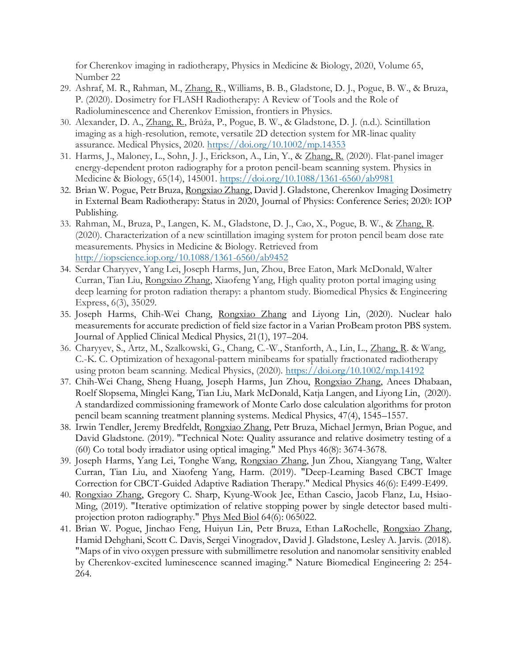for Cherenkov imaging in radiotherapy, Physics in Medicine & Biology, 2020, Volume 65, Number 22

- 29. Ashraf, M. R., Rahman, M., Zhang, R., Williams, B. B., Gladstone, D. J., Pogue, B. W., & Bruza, P. (2020). Dosimetry for FLASH Radiotherapy: A Review of Tools and the Role of Radioluminescence and Cherenkov Emission, frontiers in Physics.
- 30. Alexander, D. A., Zhang, R., Brůža, P., Pogue, B. W., & Gladstone, D. J. (n.d.). Scintillation imaging as a high-resolution, remote, versatile 2D detection system for MR-linac quality assurance. Medical Physics, 2020.<https://doi.org/10.1002/mp.14353>
- 31. Harms, J., Maloney, L., Sohn, J. J., Erickson, A., Lin, Y., & Zhang, R. (2020). Flat-panel imager energy-dependent proton radiography for a proton pencil-beam scanning system. Physics in Medicine & Biology, 65(14), 145001.<https://doi.org/10.1088/1361-6560/ab9981>
- 32. Brian W. Pogue, Petr Bruza, Rongxiao Zhang, David J. Gladstone, Cherenkov Imaging Dosimetry in External Beam Radiotherapy: Status in 2020, Journal of Physics: Conference Series; 2020: IOP Publishing.
- 33. Rahman, M., Bruza, P., Langen, K. M., Gladstone, D. J., Cao, X., Pogue, B. W., & Zhang, R. (2020). Characterization of a new scintillation imaging system for proton pencil beam dose rate measurements. Physics in Medicine & Biology. Retrieved from <http://iopscience.iop.org/10.1088/1361-6560/ab9452>
- 34. Serdar Charyyev, Yang Lei, Joseph Harms, Jun, Zhou, Bree Eaton, Mark McDonald, Walter Curran, Tian Liu, Rongxiao Zhang, Xiaofeng Yang, High quality proton portal imaging using deep learning for proton radiation therapy: a phantom study. Biomedical Physics & Engineering Express, 6(3), 35029.
- 35. Joseph Harms, Chih-Wei Chang, Rongxiao Zhang and Liyong Lin, (2020). Nuclear halo measurements for accurate prediction of field size factor in a Varian ProBeam proton PBS system. Journal of Applied Clinical Medical Physics, 21(1), 197–204.
- 36. Charyyev, S., Artz, M., Szalkowski, G., Chang, C.-W., Stanforth, A., Lin, L., Zhang, R. & Wang, C.-K. C. Optimization of hexagonal-pattern minibeams for spatially fractionated radiotherapy using proton beam scanning. Medical Physics, (2020).<https://doi.org/10.1002/mp.14192>
- 37. Chih-Wei Chang, Sheng Huang, Joseph Harms, Jun Zhou, Rongxiao Zhang, Anees Dhabaan, Roelf Slopsema, Minglei Kang, Tian Liu, Mark McDonald, Katja Langen, and Liyong Lin, (2020). A standardized commissioning framework of Monte Carlo dose calculation algorithms for proton pencil beam scanning treatment planning systems. Medical Physics, 47(4), 1545–1557.
- 38. Irwin Tendler, Jeremy Bredfeldt, Rongxiao Zhang, Petr Bruza, Michael Jermyn, Brian Pogue, and David Gladstone. (2019). "Technical Note: Quality assurance and relative dosimetry testing of a (60) Co total body irradiator using optical imaging." Med Phys 46(8): 3674-3678.
- 39. Joseph Harms, Yang Lei, Tonghe Wang, Rongxiao Zhang, Jun Zhou, Xiangyang Tang, Walter Curran, Tian Liu, and Xiaofeng Yang, Harm. (2019). "Deep-Learning Based CBCT Image Correction for CBCT-Guided Adaptive Radiation Therapy." Medical Physics 46(6): E499-E499.
- 40. Rongxiao Zhang, Gregory C. Sharp, Kyung-Wook Jee, Ethan Cascio, Jacob Flanz, Lu, Hsiao-Ming, (2019). "Iterative optimization of relative stopping power by single detector based multiprojection proton radiography." Phys Med Biol 64(6): 065022.
- 41. Brian W. Pogue, Jinchao Feng, Huiyun Lin, Petr Bruza, Ethan LaRochelle, Rongxiao Zhang, Hamid Dehghani, Scott C. Davis, Sergei Vinogradov, David J. Gladstone, Lesley A. Jarvis. (2018). "Maps of in vivo oxygen pressure with submillimetre resolution and nanomolar sensitivity enabled by Cherenkov-excited luminescence scanned imaging." Nature Biomedical Engineering 2: 254- 264.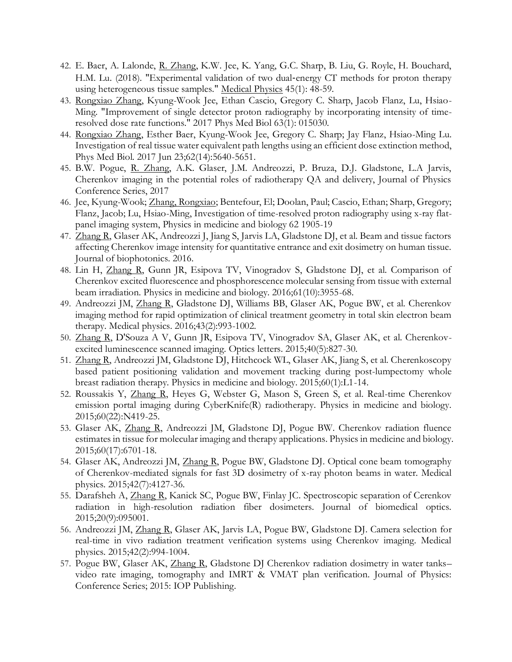- 42. E. Baer, A. Lalonde, R. Zhang, K.W. Jee, K. Yang, G.C. Sharp, B. Liu, G. Royle, H. Bouchard, H.M. Lu. (2018). "Experimental validation of two dual-energy CT methods for proton therapy using heterogeneous tissue samples." Medical Physics 45(1): 48-59.
- 43. Rongxiao Zhang, Kyung-Wook Jee, Ethan Cascio, Gregory C. Sharp, Jacob Flanz, Lu, Hsiao-Ming. "Improvement of single detector proton radiography by incorporating intensity of timeresolved dose rate functions." 2017 Phys Med Biol 63(1): 015030.
- 44. Rongxiao Zhang, Esther Baer, Kyung-Wook Jee, Gregory C. Sharp; Jay Flanz, Hsiao-Ming Lu. Investigation of real tissue water equivalent path lengths using an efficient dose extinction method, Phys Med Biol. 2017 Jun 23;62(14):5640-5651.
- 45. B.W. Pogue, R. Zhang, A.K. Glaser, J.M. Andreozzi, P. Bruza, D.J. Gladstone, L.A Jarvis, Cherenkov imaging in the potential roles of radiotherapy QA and delivery, Journal of Physics Conference Series, 2017
- 46. Jee, Kyung-Wook; Zhang, Rongxiao; Bentefour, El; Doolan, Paul; Cascio, Ethan; Sharp, Gregory; Flanz, Jacob; Lu, Hsiao-Ming, Investigation of time-resolved proton radiography using x-ray flatpanel imaging system, Physics in medicine and biology 62 1905-19
- 47. Zhang R, Glaser AK, Andreozzi J, Jiang S, Jarvis LA, Gladstone DJ, et al. Beam and tissue factors affecting Cherenkov image intensity for quantitative entrance and exit dosimetry on human tissue. Journal of biophotonics. 2016.
- 48. Lin H, Zhang R, Gunn JR, Esipova TV, Vinogradov S, Gladstone DJ, et al. Comparison of Cherenkov excited fluorescence and phosphorescence molecular sensing from tissue with external beam irradiation. Physics in medicine and biology. 2016;61(10):3955-68.
- 49. Andreozzi JM, Zhang R, Gladstone DJ, Williams BB, Glaser AK, Pogue BW, et al. Cherenkov imaging method for rapid optimization of clinical treatment geometry in total skin electron beam therapy. Medical physics. 2016;43(2):993-1002.
- 50. Zhang R, D'Souza A V, Gunn JR, Esipova TV, Vinogradov SA, Glaser AK, et al. Cherenkovexcited luminescence scanned imaging. Optics letters. 2015;40(5):827-30.
- 51. Zhang R, Andreozzi JM, Gladstone DJ, Hitchcock WL, Glaser AK, Jiang S, et al. Cherenkoscopy based patient positioning validation and movement tracking during post-lumpectomy whole breast radiation therapy. Physics in medicine and biology. 2015;60(1):L1-14.
- 52. Roussakis Y, Zhang R, Heyes G, Webster G, Mason S, Green S, et al. Real-time Cherenkov emission portal imaging during CyberKnife(R) radiotherapy. Physics in medicine and biology. 2015;60(22):N419-25.
- 53. Glaser AK, Zhang R, Andreozzi JM, Gladstone DJ, Pogue BW. Cherenkov radiation fluence estimates in tissue for molecular imaging and therapy applications. Physics in medicine and biology. 2015;60(17):6701-18.
- 54. Glaser AK, Andreozzi JM, Zhang R, Pogue BW, Gladstone DJ. Optical cone beam tomography of Cherenkov-mediated signals for fast 3D dosimetry of x-ray photon beams in water. Medical physics. 2015;42(7):4127-36.
- 55. Darafsheh A, Zhang R, Kanick SC, Pogue BW, Finlay JC. Spectroscopic separation of Cerenkov radiation in high-resolution radiation fiber dosimeters. Journal of biomedical optics. 2015;20(9):095001.
- 56. Andreozzi JM, Zhang R, Glaser AK, Jarvis LA, Pogue BW, Gladstone DJ. Camera selection for real-time in vivo radiation treatment verification systems using Cherenkov imaging. Medical physics. 2015;42(2):994-1004.
- 57. Pogue BW, Glaser AK, Zhang R, Gladstone DJ Cherenkov radiation dosimetry in water tanks– video rate imaging, tomography and IMRT & VMAT plan verification. Journal of Physics: Conference Series; 2015: IOP Publishing.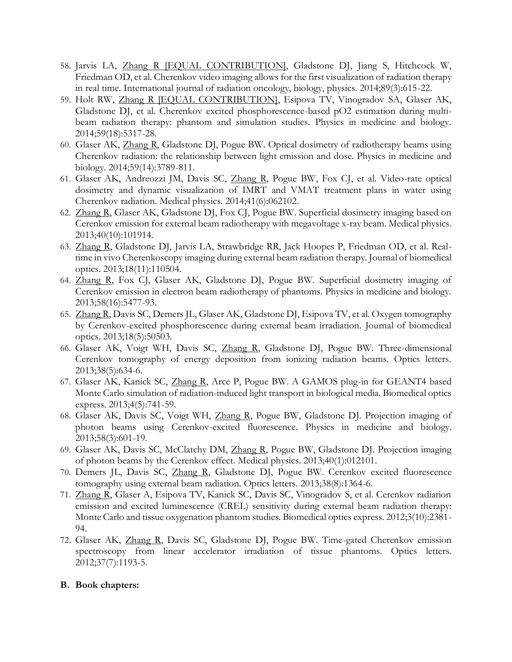- 58. Jarvis LA, Zhang R [EQUAL CONTRIBUTION], Gladstone DJ, Jiang S, Hitchcock W, Friedman OD, et al. Cherenkov video imaging allows for the first visualization of radiation therapy in real time. International journal of radiation oncology, biology, physics. 2014;89(3):615-22.
- 59. Holt RW, Zhang R [EQUAL CONTRIBUTION], Esipova TV, Vinogradov SA, Glaser AK, Gladstone DJ, et al. Cherenkov excited phosphorescence-based pO2 estimation during multibeam radiation therapy: phantom and simulation studies. Physics in medicine and biology. 2014;59(18):5317-28.
- 60. Glaser AK, Zhang R, Gladstone DJ, Pogue BW. Optical dosimetry of radiotherapy beams using Cherenkov radiation: the relationship between light emission and dose. Physics in medicine and biology. 2014;59(14):3789-811.
- 61. Glaser AK, Andreozzi JM, Davis SC, Zhang R, Pogue BW, Fox CJ, et al. Video-rate optical dosimetry and dynamic visualization of IMRT and VMAT treatment plans in water using Cherenkov radiation. Medical physics. 2014;41(6):062102.
- 62. Zhang R, Glaser AK, Gladstone DJ, Fox CJ, Pogue BW. Superficial dosimetry imaging based on Cerenkov emission for external beam radiotherapy with megavoltage x-ray beam. Medical physics. 2013;40(10):101914.
- 63. Zhang R, Gladstone DJ, Jarvis LA, Strawbridge RR, Jack Hoopes P, Friedman OD, et al. Realtime in vivo Cherenkoscopy imaging during external beam radiation therapy. Journal of biomedical optics. 2013;18(11):110504.
- 64. Zhang R, Fox CJ, Glaser AK, Gladstone DJ, Pogue BW. Superficial dosimetry imaging of Cerenkov emission in electron beam radiotherapy of phantoms. Physics in medicine and biology. 2013;58(16):5477-93.
- 65. Zhang R, Davis SC, Demers JL, Glaser AK, Gladstone DJ, Esipova TV, et al. Oxygen tomography by Cerenkov-excited phosphorescence during external beam irradiation. Journal of biomedical optics. 2013;18(5):50503.
- 66. Glaser AK, Voigt WH, Davis SC, Zhang R, Gladstone DJ, Pogue BW. Three-dimensional Cerenkov tomography of energy deposition from ionizing radiation beams. Optics letters. 2013;38(5):634-6.
- 67. Glaser AK, Kanick SC, Zhang R, Arce P, Pogue BW. A GAMOS plug-in for GEANT4 based Monte Carlo simulation of radiation-induced light transport in biological media. Biomedical optics express. 2013;4(5):741-59.
- 68. Glaser AK, Davis SC, Voigt WH, Zhang R, Pogue BW, Gladstone DJ. Projection imaging of photon beams using Cerenkov-excited fluorescence. Physics in medicine and biology. 2013;58(3):601-19.
- 69. Glaser AK, Davis SC, McClatchy DM, Zhang R, Pogue BW, Gladstone DJ. Projection imaging of photon beams by the Cerenkov effect. Medical physics. 2013;40(1):012101.
- 70. Demers JL, Davis SC, Zhang R, Gladstone DJ, Pogue BW. Cerenkov excited fluorescence tomography using external beam radiation. Optics letters. 2013;38(8):1364-6.
- 71. Zhang R, Glaser A, Esipova TV, Kanick SC, Davis SC, Vinogradov S, et al. Cerenkov radiation emission and excited luminescence (CREL) sensitivity during external beam radiation therapy: Monte Carlo and tissue oxygenation phantom studies. Biomedical optics express. 2012;3(10):2381- 94.
- 72. Glaser AK, Zhang R, Davis SC, Gladstone DJ, Pogue BW. Time-gated Cherenkov emission spectroscopy from linear accelerator irradiation of tissue phantoms. Optics letters. 2012;37(7):1193-5.

#### **B. Book chapters:**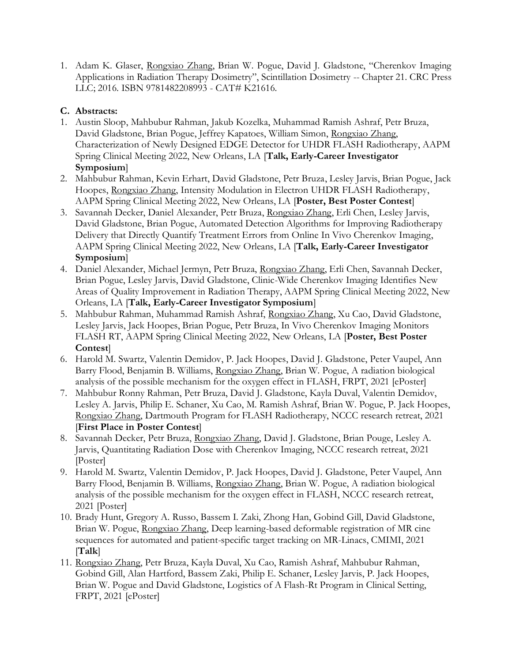1. Adam K. Glaser, Rongxiao Zhang, Brian W. Pogue, David J. Gladstone, "Cherenkov Imaging Applications in Radiation Therapy Dosimetry", Scintillation Dosimetry -- Chapter 21. CRC Press LLC; 2016. ISBN 9781482208993 - CAT# K21616.

## **C. Abstracts:**

- 1. Austin Sloop, Mahbubur Rahman, Jakub Kozelka, Muhammad Ramish Ashraf, Petr Bruza, David Gladstone, Brian Pogue, Jeffrey Kapatoes, William Simon, Rongxiao Zhang, Characterization of Newly Designed EDGE Detector for UHDR FLASH Radiotherapy, AAPM Spring Clinical Meeting 2022, New Orleans, LA [**Talk, Early-Career Investigator Symposium**]
- 2. Mahbubur Rahman, Kevin Erhart, David Gladstone, Petr Bruza, Lesley Jarvis, Brian Pogue, Jack Hoopes, Rongxiao Zhang, Intensity Modulation in Electron UHDR FLASH Radiotherapy, AAPM Spring Clinical Meeting 2022, New Orleans, LA [**Poster, Best Poster Contest**]
- 3. Savannah Decker, Daniel Alexander, Petr Bruza, Rongxiao Zhang, Erli Chen, Lesley Jarvis, David Gladstone, Brian Pogue, Automated Detection Algorithms for Improving Radiotherapy Delivery that Directly Quantify Treatment Errors from Online In Vivo Cherenkov Imaging, AAPM Spring Clinical Meeting 2022, New Orleans, LA [**Talk, Early-Career Investigator Symposium**]
- 4. Daniel Alexander, Michael Jermyn, Petr Bruza, Rongxiao Zhang, Erli Chen, Savannah Decker, Brian Pogue, Lesley Jarvis, David Gladstone, Clinic-Wide Cherenkov Imaging Identifies New Areas of Quality Improvement in Radiation Therapy, AAPM Spring Clinical Meeting 2022, New Orleans, LA [**Talk, Early-Career Investigator Symposium**]
- 5. Mahbubur Rahman, Muhammad Ramish Ashraf, Rongxiao Zhang, Xu Cao, David Gladstone, Lesley Jarvis, Jack Hoopes, Brian Pogue, Petr Bruza, In Vivo Cherenkov Imaging Monitors FLASH RT, AAPM Spring Clinical Meeting 2022, New Orleans, LA [**Poster, Best Poster Contest**]
- 6. Harold M. Swartz, Valentin Demidov, P. Jack Hoopes, David J. Gladstone, Peter Vaupel, Ann Barry Flood, Benjamin B. Williams, Rongxiao Zhang, Brian W. Pogue, A radiation biological analysis of the possible mechanism for the oxygen effect in FLASH, FRPT, 2021 [ePoster]
- 7. Mahbubur Ronny Rahman, Petr Bruza, David J. Gladstone, Kayla Duval, Valentin Demidov, Lesley A. Jarvis, Philip E. Schaner, Xu Cao, M. Ramish Ashraf, Brian W. Pogue, P. Jack Hoopes, Rongxiao Zhang, Dartmouth Program for FLASH Radiotherapy, NCCC research retreat, 2021 [**First Place in Poster Contest**]
- 8. Savannah Decker, Petr Bruza, Rongxiao Zhang, David J. Gladstone, Brian Pouge, Lesley A. Jarvis, Quantitating Radiation Dose with Cherenkov Imaging, NCCC research retreat, 2021 [Poster]
- 9. Harold M. Swartz, Valentin Demidov, P. Jack Hoopes, David J. Gladstone, Peter Vaupel, Ann Barry Flood, Benjamin B. Williams, Rongxiao Zhang, Brian W. Pogue, A radiation biological analysis of the possible mechanism for the oxygen effect in FLASH, NCCC research retreat, 2021 [Poster]
- 10. Brady Hunt, Gregory A. Russo, Bassem I. Zaki, Zhong Han, Gobind Gill, David Gladstone, Brian W. Pogue, Rongxiao Zhang, Deep learning-based deformable registration of MR cine sequences for automated and patient-specific target tracking on MR-Linacs, CMIMI, 2021 [**Talk**]
- 11. Rongxiao Zhang, Petr Bruza, Kayla Duval, Xu Cao, Ramish Ashraf, Mahbubur Rahman, Gobind Gill, Alan Hartford, Bassem Zaki, Philip E. Schaner, Lesley Jarvis, P. Jack Hoopes, Brian W. Pogue and David Gladstone, Logistics of A Flash-Rt Program in Clinical Setting, FRPT, 2021 [ePoster]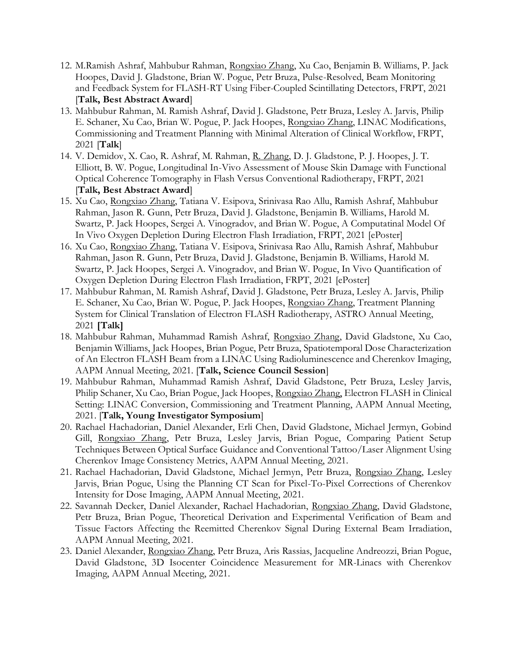- 12. M.Ramish Ashraf, Mahbubur Rahman, Rongxiao Zhang, Xu Cao, Benjamin B. Williams, P. Jack Hoopes, David J. Gladstone, Brian W. Pogue, Petr Bruza, Pulse-Resolved, Beam Monitoring and Feedback System for FLASH-RT Using Fiber-Coupled Scintillating Detectors, FRPT, 2021 [**Talk, Best Abstract Award**]
- 13. Mahbubur Rahman, M. Ramish Ashraf, David J. Gladstone, Petr Bruza, Lesley A. Jarvis, Philip E. Schaner, Xu Cao, Brian W. Pogue, P. Jack Hoopes, Rongxiao Zhang, LINAC Modifications, Commissioning and Treatment Planning with Minimal Alteration of Clinical Workflow, FRPT, 2021 [**Talk**]
- 14. V. Demidov, X. Cao, R. Ashraf, M. Rahman, R. Zhang, D. J. Gladstone, P. J. Hoopes, J. T. Elliott, B. W. Pogue, Longitudinal In-Vivo Assessment of Mouse Skin Damage with Functional Optical Coherence Tomography in Flash Versus Conventional Radiotherapy, FRPT, 2021 [**Talk, Best Abstract Award**]
- 15. Xu Cao, Rongxiao Zhang, Tatiana V. Esipova, Srinivasa Rao Allu, Ramish Ashraf, Mahbubur Rahman, Jason R. Gunn, Petr Bruza, David J. Gladstone, Benjamin B. Williams, Harold M. Swartz, P. Jack Hoopes, Sergei A. Vinogradov, and Brian W. Pogue, A Computatinal Model Of In Vivo Oxygen Depletion During Electron Flash Irradiation, FRPT, 2021 [ePoster]
- 16. Xu Cao, Rongxiao Zhang, Tatiana V. Esipova, Srinivasa Rao Allu, Ramish Ashraf, Mahbubur Rahman, Jason R. Gunn, Petr Bruza, David J. Gladstone, Benjamin B. Williams, Harold M. Swartz, P. Jack Hoopes, Sergei A. Vinogradov, and Brian W. Pogue, In Vivo Quantification of Oxygen Depletion During Electron Flash Irradiation, FRPT, 2021 [ePoster]
- 17. Mahbubur Rahman, M. Ramish Ashraf, David J. Gladstone, Petr Bruza, Lesley A. Jarvis, Philip E. Schaner, Xu Cao, Brian W. Pogue, P. Jack Hoopes, Rongxiao Zhang, Treatment Planning System for Clinical Translation of Electron FLASH Radiotherapy, ASTRO Annual Meeting, 2021 **[Talk]**
- 18. Mahbubur Rahman, Muhammad Ramish Ashraf, Rongxiao Zhang, David Gladstone, Xu Cao, Benjamin Williams, Jack Hoopes, Brian Pogue, Petr Bruza, Spatiotemporal Dose Characterization of An Electron FLASH Beam from a LINAC Using Radioluminescence and Cherenkov Imaging, AAPM Annual Meeting, 2021. [**Talk, Science Council Session**]
- 19. Mahbubur Rahman, Muhammad Ramish Ashraf, David Gladstone, Petr Bruza, Lesley Jarvis, Philip Schaner, Xu Cao, Brian Pogue, Jack Hoopes, Rongxiao Zhang, Electron FLASH in Clinical Setting: LINAC Conversion, Commissioning and Treatment Planning, AAPM Annual Meeting, 2021. [**Talk, Young Investigator Symposium**]
- 20. Rachael Hachadorian, Daniel Alexander, Erli Chen, David Gladstone, Michael Jermyn, Gobind Gill, Rongxiao Zhang, Petr Bruza, Lesley Jarvis, Brian Pogue, Comparing Patient Setup Techniques Between Optical Surface Guidance and Conventional Tattoo/Laser Alignment Using Cherenkov Image Consistency Metrics, AAPM Annual Meeting, 2021.
- 21. Rachael Hachadorian, David Gladstone, Michael Jermyn, Petr Bruza, Rongxiao Zhang, Lesley Jarvis, Brian Pogue, Using the Planning CT Scan for Pixel-To-Pixel Corrections of Cherenkov Intensity for Dose Imaging, AAPM Annual Meeting, 2021.
- 22. Savannah Decker, Daniel Alexander, Rachael Hachadorian, Rongxiao Zhang, David Gladstone, Petr Bruza, Brian Pogue, Theoretical Derivation and Experimental Verification of Beam and Tissue Factors Affecting the Reemitted Cherenkov Signal During External Beam Irradiation, AAPM Annual Meeting, 2021.
- 23. Daniel Alexander, Rongxiao Zhang, Petr Bruza, Aris Rassias, Jacqueline Andreozzi, Brian Pogue, David Gladstone, 3D Isocenter Coincidence Measurement for MR-Linacs with Cherenkov Imaging, AAPM Annual Meeting, 2021.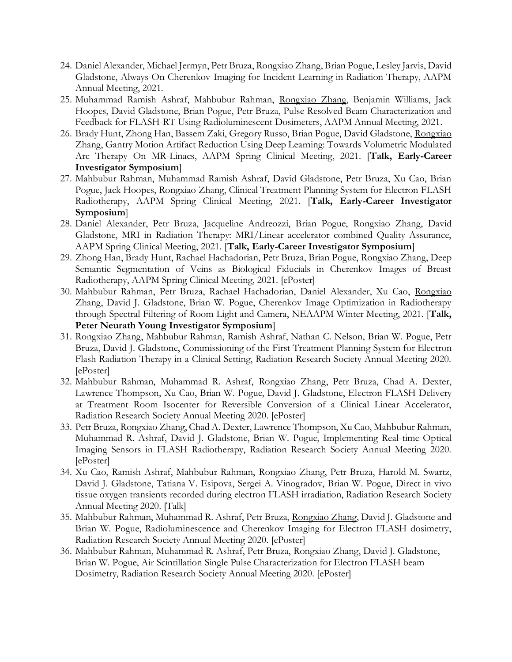- 24. Daniel Alexander, Michael Jermyn, Petr Bruza, Rongxiao Zhang, Brian Pogue, Lesley Jarvis, David Gladstone, Always-On Cherenkov Imaging for Incident Learning in Radiation Therapy, AAPM Annual Meeting, 2021.
- 25. Muhammad Ramish Ashraf, Mahbubur Rahman, Rongxiao Zhang, Benjamin Williams, Jack Hoopes, David Gladstone, Brian Pogue, Petr Bruza, Pulse Resolved Beam Characterization and Feedback for FLASH-RT Using Radioluminescent Dosimeters, AAPM Annual Meeting, 2021.
- 26. Brady Hunt, Zhong Han, Bassem Zaki, Gregory Russo, Brian Pogue, David Gladstone, Rongxiao Zhang, Gantry Motion Artifact Reduction Using Deep Learning: Towards Volumetric Modulated Arc Therapy On MR-Linacs, AAPM Spring Clinical Meeting, 2021. [**Talk, Early-Career Investigator Symposium**]
- 27. Mahbubur Rahman, Muhammad Ramish Ashraf, David Gladstone, Petr Bruza, Xu Cao, Brian Pogue, Jack Hoopes, Rongxiao Zhang, Clinical Treatment Planning System for Electron FLASH Radiotherapy, AAPM Spring Clinical Meeting, 2021. [**Talk, Early-Career Investigator Symposium**]
- 28. Daniel Alexander, Petr Bruza, Jacqueline Andreozzi, Brian Pogue, Rongxiao Zhang, David Gladstone, MRI in Radiation Therapy: MRI/Linear accelerator combined Quality Assurance, AAPM Spring Clinical Meeting, 2021. [**Talk, Early-Career Investigator Symposium**]
- 29. Zhong Han, Brady Hunt, Rachael Hachadorian, Petr Bruza, Brian Pogue, Rongxiao Zhang, Deep Semantic Segmentation of Veins as Biological Fiducials in Cherenkov Images of Breast Radiotherapy, AAPM Spring Clinical Meeting, 2021. [ePoster]
- 30. Mahbubur Rahman, Petr Bruza, Rachael Hachadorian, Daniel Alexander, Xu Cao, Rongxiao Zhang, David J. Gladstone, Brian W. Pogue, Cherenkov Image Optimization in Radiotherapy through Spectral Filtering of Room Light and Camera, NEAAPM Winter Meeting, 2021. [**Talk, Peter Neurath Young Investigator Symposium**]
- 31. Rongxiao Zhang, Mahbubur Rahman, Ramish Ashraf, Nathan C. Nelson, Brian W. Pogue, Petr Bruza, David J. Gladstone, Commissioning of the First Treatment Planning System for Electron Flash Radiation Therapy in a Clinical Setting, Radiation Research Society Annual Meeting 2020. [ePoster]
- 32. Mahbubur Rahman, Muhammad R. Ashraf, Rongxiao Zhang, Petr Bruza, Chad A. Dexter, Lawrence Thompson, Xu Cao, Brian W. Pogue, David J. Gladstone, Electron FLASH Delivery at Treatment Room Isocenter for Reversible Conversion of a Clinical Linear Accelerator, Radiation Research Society Annual Meeting 2020. [ePoster]
- 33. Petr Bruza, Rongxiao Zhang, Chad A. Dexter, Lawrence Thompson, Xu Cao, Mahbubur Rahman, Muhammad R. Ashraf, David J. Gladstone, Brian W. Pogue, Implementing Real-time Optical Imaging Sensors in FLASH Radiotherapy, Radiation Research Society Annual Meeting 2020. [ePoster]
- 34. Xu Cao, Ramish Ashraf, Mahbubur Rahman, Rongxiao Zhang, Petr Bruza, Harold M. Swartz, David J. Gladstone, Tatiana V. Esipova, Sergei A. Vinogradov, Brian W. Pogue, Direct in vivo tissue oxygen transients recorded during electron FLASH irradiation, Radiation Research Society Annual Meeting 2020. [Talk]
- 35. Mahbubur Rahman, Muhammad R. Ashraf, Petr Bruza, Rongxiao Zhang, David J. Gladstone and Brian W. Pogue, Radioluminescence and Cherenkov Imaging for Electron FLASH dosimetry, Radiation Research Society Annual Meeting 2020. [ePoster]
- 36. Mahbubur Rahman, Muhammad R. Ashraf, Petr Bruza, Rongxiao Zhang, David J. Gladstone, Brian W. Pogue, Air Scintillation Single Pulse Characterization for Electron FLASH beam Dosimetry, Radiation Research Society Annual Meeting 2020. [ePoster]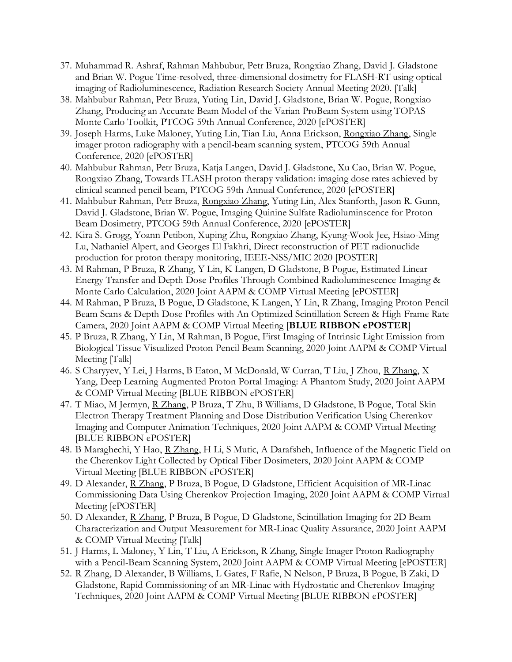- 37. Muhammad R. Ashraf, Rahman Mahbubur, Petr Bruza, Rongxiao Zhang, David J. Gladstone and Brian W. Pogue Time-resolved, three-dimensional dosimetry for FLASH-RT using optical imaging of Radioluminescence, Radiation Research Society Annual Meeting 2020. [Talk]
- 38. Mahbubur Rahman, Petr Bruza, Yuting Lin, David J. Gladstone, Brian W. Pogue, Rongxiao Zhang, Producing an Accurate Beam Model of the Varian ProBeam System using TOPAS Monte Carlo Toolkit, PTCOG 59th Annual Conference, 2020 [ePOSTER]
- 39. Joseph Harms, Luke Maloney, Yuting Lin, Tian Liu, Anna Erickson, Rongxiao Zhang, Single imager proton radiography with a pencil-beam scanning system, PTCOG 59th Annual Conference, 2020 [ePOSTER]
- 40. Mahbubur Rahman, Petr Bruza, Katja Langen, David J. Gladstone, Xu Cao, Brian W. Pogue, Rongxiao Zhang, Towards FLASH proton therapy validation: imaging dose rates achieved by clinical scanned pencil beam, PTCOG 59th Annual Conference, 2020 [ePOSTER]
- 41. Mahbubur Rahman, Petr Bruza, Rongxiao Zhang, Yuting Lin, Alex Stanforth, Jason R. Gunn, David J. Gladstone, Brian W. Pogue, Imaging Quinine Sulfate Radioluminscence for Proton Beam Dosimetry, PTCOG 59th Annual Conference, 2020 [ePOSTER]
- 42. Kira S. Grogg, Yoann Petibon, Xuping Zhu, Rongxiao Zhang, Kyung-Wook Jee, Hsiao-Ming Lu, Nathaniel Alpert, and Georges El Fakhri, Direct reconstruction of PET radionuclide production for proton therapy monitoring, IEEE-NSS/MIC 2020 [POSTER]
- 43. M Rahman, P Bruza, R Zhang, Y Lin, K Langen, D Gladstone, B Pogue, Estimated Linear Energy Transfer and Depth Dose Profiles Through Combined Radioluminescence Imaging & Monte Carlo Calculation, 2020 Joint AAPM & COMP Virtual Meeting [ePOSTER]
- 44. M Rahman, P Bruza, B Pogue, D Gladstone, K Langen, Y Lin, R Zhang, Imaging Proton Pencil Beam Scans & Depth Dose Profiles with An Optimized Scintillation Screen & High Frame Rate Camera, 2020 Joint AAPM & COMP Virtual Meeting [**BLUE RIBBON ePOSTER**]
- 45. P Bruza, R Zhang, Y Lin, M Rahman, B Pogue, First Imaging of Intrinsic Light Emission from Biological Tissue Visualized Proton Pencil Beam Scanning, 2020 Joint AAPM & COMP Virtual Meeting [Talk]
- 46. S Charyyev, Y Lei, J Harms, B Eaton, M McDonald, W Curran, T Liu, J Zhou, <u>R Zhang</u>, X Yang, Deep Learning Augmented Proton Portal Imaging: A Phantom Study, 2020 Joint AAPM & COMP Virtual Meeting [BLUE RIBBON ePOSTER]
- 47. T Miao, M Jermyn, R Zhang, P Bruza, T Zhu, B Williams, D Gladstone, B Pogue, Total Skin Electron Therapy Treatment Planning and Dose Distribution Verification Using Cherenkov Imaging and Computer Animation Techniques, 2020 Joint AAPM & COMP Virtual Meeting [BLUE RIBBON ePOSTER]
- 48. B Maraghechi, Y Hao, R Zhang, H Li, S Mutic, A Darafsheh, Influence of the Magnetic Field on the Cherenkov Light Collected by Optical Fiber Dosimeters, 2020 Joint AAPM & COMP Virtual Meeting [BLUE RIBBON ePOSTER]
- 49. D Alexander, R Zhang, P Bruza, B Pogue, D Gladstone, Efficient Acquisition of MR-Linac Commissioning Data Using Cherenkov Projection Imaging, 2020 Joint AAPM & COMP Virtual Meeting [ePOSTER]
- 50. D Alexander, R Zhang, P Bruza, B Pogue, D Gladstone, Scintillation Imaging for 2D Beam Characterization and Output Measurement for MR-Linac Quality Assurance, 2020 Joint AAPM & COMP Virtual Meeting [Talk]
- 51. J Harms, L Maloney, Y Lin, T Liu, A Erickson, R Zhang, Single Imager Proton Radiography with a Pencil-Beam Scanning System, 2020 Joint AAPM & COMP Virtual Meeting [ePOSTER]
- 52. R Zhang, D Alexander, B Williams, L Gates, F Rafie, N Nelson, P Bruza, B Pogue, B Zaki, D Gladstone, Rapid Commissioning of an MR-Linac with Hydrostatic and Cherenkov Imaging Techniques, 2020 Joint AAPM & COMP Virtual Meeting [BLUE RIBBON ePOSTER]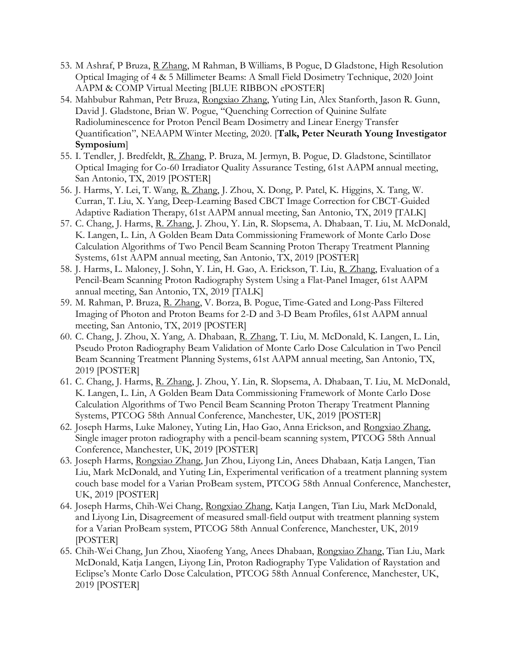- 53. M Ashraf, P Bruza, R Zhang, M Rahman, B Williams, B Pogue, D Gladstone, High Resolution Optical Imaging of 4 & 5 Millimeter Beams: A Small Field Dosimetry Technique, 2020 Joint AAPM & COMP Virtual Meeting [BLUE RIBBON ePOSTER]
- 54. Mahbubur Rahman, Petr Bruza, Rongxiao Zhang, Yuting Lin, Alex Stanforth, Jason R. Gunn, David J. Gladstone, Brian W. Pogue, "Quenching Correction of Quinine Sulfate Radioluminescence for Proton Pencil Beam Dosimetry and Linear Energy Transfer Quantification", NEAAPM Winter Meeting, 2020. [**Talk, Peter Neurath Young Investigator Symposium**]
- 55. I. Tendler, J. Bredfeldt, R. Zhang, P. Bruza, M. Jermyn, B. Pogue, D. Gladstone, Scintillator Optical Imaging for Co-60 Irradiator Quality Assurance Testing, 61st AAPM annual meeting, San Antonio, TX, 2019 [POSTER]
- 56. J. Harms, Y. Lei, T. Wang, R. Zhang, J. Zhou, X. Dong, P. Patel, K. Higgins, X. Tang, W. Curran, T. Liu, X. Yang, Deep-Learning Based CBCT Image Correction for CBCT-Guided Adaptive Radiation Therapy, 61st AAPM annual meeting, San Antonio, TX, 2019 [TALK]
- 57. C. Chang, J. Harms, R. Zhang, J. Zhou, Y. Lin, R. Slopsema, A. Dhabaan, T. Liu, M. McDonald, K. Langen, L. Lin, A Golden Beam Data Commissioning Framework of Monte Carlo Dose Calculation Algorithms of Two Pencil Beam Scanning Proton Therapy Treatment Planning Systems, 61st AAPM annual meeting, San Antonio, TX, 2019 [POSTER]
- 58. J. Harms, L. Maloney, J. Sohn, Y. Lin, H. Gao, A. Erickson, T. Liu, R. Zhang, Evaluation of a Pencil-Beam Scanning Proton Radiography System Using a Flat-Panel Imager, 61st AAPM annual meeting, San Antonio, TX, 2019 [TALK]
- 59. M. Rahman, P. Bruza, R. Zhang, V. Borza, B. Pogue, Time-Gated and Long-Pass Filtered Imaging of Photon and Proton Beams for 2-D and 3-D Beam Profiles, 61st AAPM annual meeting, San Antonio, TX, 2019 [POSTER]
- 60. C. Chang, J. Zhou, X. Yang, A. Dhabaan, R. Zhang, T. Liu, M. McDonald, K. Langen, L. Lin, Pseudo Proton Radiography Beam Validation of Monte Carlo Dose Calculation in Two Pencil Beam Scanning Treatment Planning Systems, 61st AAPM annual meeting, San Antonio, TX, 2019 [POSTER]
- 61. C. Chang, J. Harms, R. Zhang, J. Zhou, Y. Lin, R. Slopsema, A. Dhabaan, T. Liu, M. McDonald, K. Langen, L. Lin, A Golden Beam Data Commissioning Framework of Monte Carlo Dose Calculation Algorithms of Two Pencil Beam Scanning Proton Therapy Treatment Planning Systems, PTCOG 58th Annual Conference, Manchester, UK, 2019 [POSTER]
- 62. Joseph Harms, Luke Maloney, Yuting Lin, Hao Gao, Anna Erickson, and Rongxiao Zhang, Single imager proton radiography with a pencil-beam scanning system, PTCOG 58th Annual Conference, Manchester, UK, 2019 [POSTER]
- 63. Joseph Harms, Rongxiao Zhang, Jun Zhou, Liyong Lin, Anees Dhabaan, Katja Langen, Tian Liu, Mark McDonald, and Yuting Lin, Experimental verification of a treatment planning system couch base model for a Varian ProBeam system, PTCOG 58th Annual Conference, Manchester, UK, 2019 [POSTER]
- 64. Joseph Harms, Chih-Wei Chang, Rongxiao Zhang, Katja Langen, Tian Liu, Mark McDonald, and Liyong Lin, Disagreement of measured small-field output with treatment planning system for a Varian ProBeam system, PTCOG 58th Annual Conference, Manchester, UK, 2019 [POSTER]
- 65. Chih-Wei Chang, Jun Zhou, Xiaofeng Yang, Anees Dhabaan, Rongxiao Zhang, Tian Liu, Mark McDonald, Katja Langen, Liyong Lin, Proton Radiography Type Validation of Raystation and Eclipse's Monte Carlo Dose Calculation, PTCOG 58th Annual Conference, Manchester, UK, 2019 [POSTER]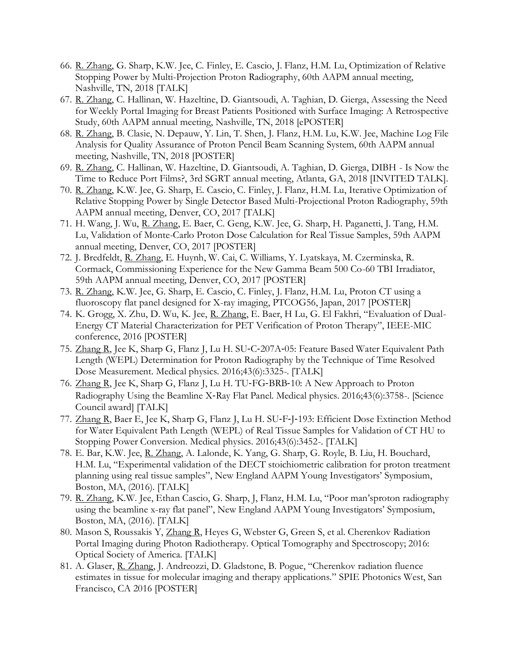- 66. R. Zhang, G. Sharp, K.W. Jee, C. Finley, E. Cascio, J. Flanz, H.M. Lu, Optimization of Relative Stopping Power by Multi-Projection Proton Radiography, 60th AAPM annual meeting, Nashville, TN, 2018 [TALK]
- 67. R. Zhang, C. Hallinan, W. Hazeltine, D. Giantsoudi, A. Taghian, D. Gierga, Assessing the Need for Weekly Portal Imaging for Breast Patients Positioned with Surface Imaging: A Retrospective Study, 60th AAPM annual meeting, Nashville, TN, 2018 [ePOSTER]
- 68. R. Zhang, B. Clasie, N. Depauw, Y. Lin, T. Shen, J. Flanz, H.M. Lu, K.W. Jee, Machine Log File Analysis for Quality Assurance of Proton Pencil Beam Scanning System, 60th AAPM annual meeting, Nashville, TN, 2018 [POSTER]
- 69. R. Zhang, C. Hallinan, W. Hazeltine, D. Giantsoudi, A. Taghian, D. Gierga, DIBH Is Now the Time to Reduce Port Films?, 3rd SGRT annual meeting, Atlanta, GA, 2018 [INVITED TALK].
- 70. R. Zhang, K.W. Jee, G. Sharp, E. Cascio, C. Finley, J. Flanz, H.M. Lu, Iterative Optimization of Relative Stopping Power by Single Detector Based Multi-Projectional Proton Radiography, 59th AAPM annual meeting, Denver, CO, 2017 [TALK]
- 71. H. Wang, J. Wu, R. Zhang, E. Baer, C. Geng, K.W. Jee, G. Sharp, H. Paganetti, J. Tang, H.M. Lu, Validation of Monte-Carlo Proton Dose Calculation for Real Tissue Samples, 59th AAPM annual meeting, Denver, CO, 2017 [POSTER]
- 72. J. Bredfeldt, R. Zhang, E. Huynh, W. Cai, C. Williams, Y. Lyatskaya, M. Czerminska, R. Cormack, Commissioning Experience for the New Gamma Beam 500 Co-60 TBI Irradiator, 59th AAPM annual meeting, Denver, CO, 2017 [POSTER]
- 73. R. Zhang, K.W. Jee, G. Sharp, E. Cascio, C. Finley, J. Flanz, H.M. Lu, Proton CT using a fluoroscopy flat panel designed for X-ray imaging, PTCOG56, Japan, 2017 [POSTER]
- 74. K. Grogg, X. Zhu, D. Wu, K. Jee, R. Zhang, E. Baer, H Lu, G. El Fakhri, "Evaluation of Dual-Energy CT Material Characterization for PET Verification of Proton Therapy", IEEE-MIC conference, 2016 [POSTER]
- 75. Zhang R, Jee K, Sharp G, Flanz J, Lu H. SU‐C‐207A‐05: Feature Based Water Equivalent Path Length (WEPL) Determination for Proton Radiography by the Technique of Time Resolved Dose Measurement. Medical physics. 2016;43(6):3325-. [TALK]
- 76. Zhang R, Jee K, Sharp G, Flanz J, Lu H. TU-FG-BRB-10: A New Approach to Proton Radiography Using the Beamline X‐Ray Flat Panel. Medical physics. 2016;43(6):3758-. [Science Council award] [TALK]
- 77. Zhang R, Baer E, Jee K, Sharp G, Flanz J, Lu H. SU‐F‐J‐193: Efficient Dose Extinction Method for Water Equivalent Path Length (WEPL) of Real Tissue Samples for Validation of CT HU to Stopping Power Conversion. Medical physics. 2016;43(6):3452-. [TALK]
- 78. E. Bar, K.W. Jee, R. Zhang, A. Lalonde, K. Yang, G. Sharp, G. Royle, B. Liu, H. Bouchard, H.M. Lu, "Experimental validation of the DECT stoichiometric calibration for proton treatment planning using real tissue samples", New England AAPM Young Investigators' Symposium, Boston, MA, (2016). [TALK]
- 79. R. Zhang, K.W. Jee, Ethan Cascio, G. Sharp, J, Flanz, H.M. Lu, "Poor man'sproton radiography using the beamline x-ray flat panel", New England AAPM Young Investigators' Symposium, Boston, MA, (2016). [TALK]
- 80. Mason S, Roussakis Y, Zhang R, Heyes G, Webster G, Green S, et al. Cherenkov Radiation Portal Imaging during Photon Radiotherapy. Optical Tomography and Spectroscopy; 2016: Optical Society of America. [TALK]
- 81. A. Glaser, R. Zhang, J. Andreozzi, D. Gladstone, B. Pogue, "Cherenkov radiation fluence estimates in tissue for molecular imaging and therapy applications." SPIE Photonics West, San Francisco, CA 2016 [POSTER]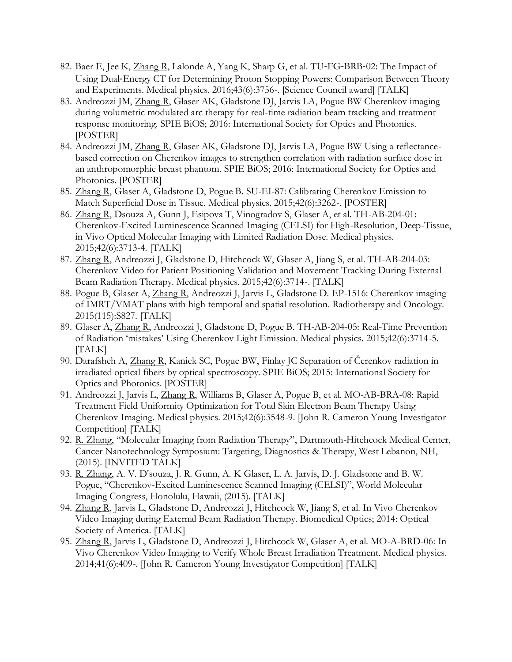- 82. Baer E, Jee K, Zhang R, Lalonde A, Yang K, Sharp G, et al. TU-FG-BRB-02: The Impact of Using Dual‐Energy CT for Determining Proton Stopping Powers: Comparison Between Theory and Experiments. Medical physics. 2016;43(6):3756-. [Science Council award] [TALK]
- 83. Andreozzi JM, Zhang R, Glaser AK, Gladstone DJ, Jarvis LA, Pogue BW Cherenkov imaging during volumetric modulated arc therapy for real-time radiation beam tracking and treatment response monitoring. SPIE BiOS; 2016: International Society for Optics and Photonics. [POSTER]
- 84. Andreozzi JM, Zhang R, Glaser AK, Gladstone DJ, Jarvis LA, Pogue BW Using a reflectancebased correction on Cherenkov images to strengthen correlation with radiation surface dose in an anthropomorphic breast phantom. SPIE BiOS; 2016: International Society for Optics and Photonics. [POSTER]
- 85. Zhang R, Glaser A, Gladstone D, Pogue B. SU-EI-87: Calibrating Cherenkov Emission to Match Superficial Dose in Tissue. Medical physics. 2015;42(6):3262-. [POSTER]
- 86. Zhang R, Dsouza A, Gunn J, Esipova T, Vinogradov S, Glaser A, et al. TH-AB-204-01: Cherenkov-Excited Luminescence Scanned Imaging (CELSI) for High-Resolution, Deep-Tissue, in Vivo Optical Molecular Imaging with Limited Radiation Dose. Medical physics. 2015;42(6):3713-4. [TALK]
- 87. Zhang R, Andreozzi J, Gladstone D, Hitchcock W, Glaser A, Jiang S, et al. TH-AB-204-03: Cherenkov Video for Patient Positioning Validation and Movement Tracking During External Beam Radiation Therapy. Medical physics. 2015;42(6):3714-. [TALK]
- 88. Pogue B, Glaser A, Zhang R, Andreozzi J, Jarvis L, Gladstone D. EP-1516: Cherenkov imaging of IMRT/VMAT plans with high temporal and spatial resolution. Radiotherapy and Oncology. 2015(115):S827. [TALK]
- 89. Glaser A, Zhang R, Andreozzi J, Gladstone D, Pogue B. TH-AB-204-05: Real-Time Prevention of Radiation 'mistakes' Using Cherenkov Light Emission. Medical physics. 2015;42(6):3714-5. [TALK]
- 90. Darafsheh A, Zhang R, Kanick SC, Pogue BW, Finlay JC Separation of Čerenkov radiation in irradiated optical fibers by optical spectroscopy. SPIE BiOS; 2015: International Society for Optics and Photonics. [POSTER]
- 91. Andreozzi J, Jarvis L, Zhang R, Williams B, Glaser A, Pogue B, et al. MO-AB-BRA-08: Rapid Treatment Field Uniformity Optimization for Total Skin Electron Beam Therapy Using Cherenkov Imaging. Medical physics. 2015;42(6):3548-9. [John R. Cameron Young Investigator Competition] [TALK]
- 92. R. Zhang, "Molecular Imaging from Radiation Therapy", Dartmouth-Hitchcock Medical Center, Cancer Nanotechnology Symposium: Targeting, Diagnostics & Therapy, West Lebanon, NH, (2015). [INVITED TALK]
- 93. R. Zhang, A. V. D'souza, J. R. Gunn, A. K Glaser, L. A. Jarvis, D. J. Gladstone and B. W. Pogue, "Cherenkov-Excited Luminescence Scanned Imaging (CELSI)", World Molecular Imaging Congress, Honolulu, Hawaii, (2015). [TALK]
- 94. Zhang R, Jarvis L, Gladstone D, Andreozzi J, Hitchcock W, Jiang S, et al. In Vivo Cherenkov Video Imaging during External Beam Radiation Therapy. Biomedical Optics; 2014: Optical Society of America. [TALK]
- 95. Zhang R, Jarvis L, Gladstone D, Andreozzi J, Hitchcock W, Glaser A, et al. MO-A-BRD-06: In Vivo Cherenkov Video Imaging to Verify Whole Breast Irradiation Treatment. Medical physics. 2014;41(6):409-. [John R. Cameron Young Investigator Competition] [TALK]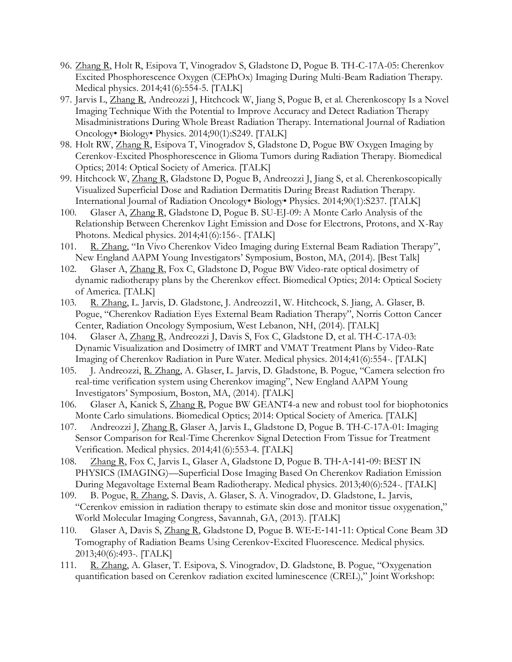- 96. Zhang R, Holt R, Esipova T, Vinogradov S, Gladstone D, Pogue B. TH-C-17A-05: Cherenkov Excited Phosphorescence Oxygen (CEPhOx) Imaging During Multi-Beam Radiation Therapy. Medical physics. 2014;41(6):554-5. [TALK]
- 97. Jarvis L, Zhang R, Andreozzi J, Hitchcock W, Jiang S, Pogue B, et al. Cherenkoscopy Is a Novel Imaging Technique With the Potential to Improve Accuracy and Detect Radiation Therapy Misadministrations During Whole Breast Radiation Therapy. International Journal of Radiation Oncology• Biology• Physics. 2014;90(1):S249. [TALK]
- 98. Holt RW, Zhang R, Esipova T, Vinogradov S, Gladstone D, Pogue BW Oxygen Imaging by Cerenkov-Excited Phosphorescence in Glioma Tumors during Radiation Therapy. Biomedical Optics; 2014: Optical Society of America. [TALK]
- 99. Hitchcock W, Zhang R, Gladstone D, Pogue B, Andreozzi J, Jiang S, et al. Cherenkoscopically Visualized Superficial Dose and Radiation Dermatitis During Breast Radiation Therapy. International Journal of Radiation Oncology• Biology• Physics. 2014;90(1):S237. [TALK]
- 100. Glaser A, Zhang R, Gladstone D, Pogue B. SU-EJ-09: A Monte Carlo Analysis of the Relationship Between Cherenkov Light Emission and Dose for Electrons, Protons, and X-Ray Photons. Medical physics. 2014;41(6):156-. [TALK]
- 101. R. Zhang, "In Vivo Cherenkov Video Imaging during External Beam Radiation Therapy", New England AAPM Young Investigators' Symposium, Boston, MA, (2014). [Best Talk]
- 102. Glaser A, Zhang R, Fox C, Gladstone D, Pogue BW Video-rate optical dosimetry of dynamic radiotherapy plans by the Cherenkov effect. Biomedical Optics; 2014: Optical Society of America. [TALK]
- 103. R. Zhang, L. Jarvis, D. Gladstone, J. Andreozzi1, W. Hitchcock, S. Jiang, A. Glaser, B. Pogue, "Cherenkov Radiation Eyes External Beam Radiation Therapy", Norris Cotton Cancer Center, Radiation Oncology Symposium, West Lebanon, NH, (2014). [TALK]
- 104. Glaser A, Zhang R, Andreozzi J, Davis S, Fox C, Gladstone D, et al. TH-C-17A-03: Dynamic Visualization and Dosimetry of IMRT and VMAT Treatment Plans by Video-Rate Imaging of Cherenkov Radiation in Pure Water. Medical physics. 2014;41(6):554-. [TALK]
- 105. J. Andreozzi, R. Zhang, A. Glaser, L. Jarvis, D. Gladstone, B. Pogue, "Camera selection fro real-time verification system using Cherenkov imaging", New England AAPM Young Investigators' Symposium, Boston, MA, (2014). [TALK]
- 106. Glaser A, Kanick S, Zhang R, Pogue BW GEANT4-a new and robust tool for biophotonics Monte Carlo simulations. Biomedical Optics; 2014: Optical Society of America. [TALK]
- 107. Andreozzi J, Zhang R, Glaser A, Jarvis L, Gladstone D, Pogue B. TH-C-17A-01: Imaging Sensor Comparison for Real-Time Cherenkov Signal Detection From Tissue for Treatment Verification. Medical physics. 2014;41(6):553-4. [TALK]
- 108. Zhang R, Fox C, Jarvis L, Glaser A, Gladstone D, Pogue B. TH‐A‐141‐09: BEST IN PHYSICS (IMAGING)—Superficial Dose Imaging Based On Cherenkov Radiation Emission During Megavoltage External Beam Radiotherapy. Medical physics. 2013;40(6):524-. [TALK]
- 109. B. Pogue, R. Zhang, S. Davis, A. Glaser, S. A. Vinogradov, D. Gladstone, L. Jarvis, "Cerenkov emission in radiation therapy to estimate skin dose and monitor tissue oxygenation," World Molecular Imaging Congress, Savannah, GA, (2013). [TALK]
- 110. Glaser A, Davis S, Zhang R, Gladstone D, Pogue B. WE-E-141-11: Optical Cone Beam 3D Tomography of Radiation Beams Using Cerenkov‐Excited Fluorescence. Medical physics. 2013;40(6):493-. [TALK]
- 111. R. Zhang, A. Glaser, T. Esipova, S. Vinogradov, D. Gladstone, B. Pogue, "Oxygenation quantification based on Cerenkov radiation excited luminescence (CREL)," Joint Workshop: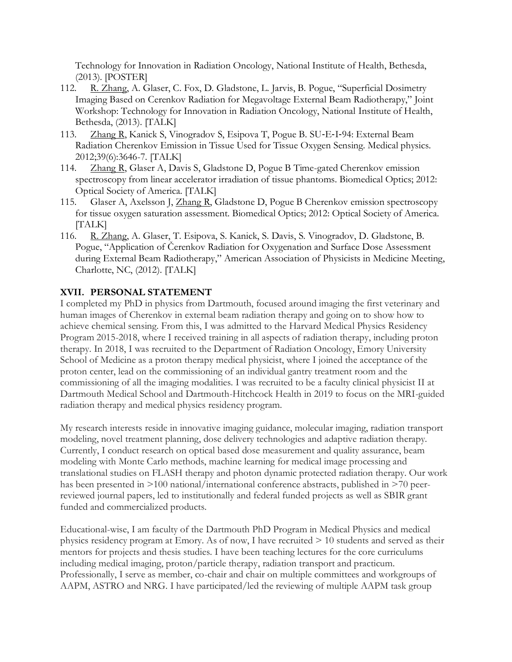Technology for Innovation in Radiation Oncology, National Institute of Health, Bethesda, (2013). [POSTER]

- 112. R. Zhang, A. Glaser, C. Fox, D. Gladstone, L. Jarvis, B. Pogue, "Superficial Dosimetry Imaging Based on Cerenkov Radiation for Megavoltage External Beam Radiotherapy," Joint Workshop: Technology for Innovation in Radiation Oncology, National Institute of Health, Bethesda, (2013). [TALK]
- 113. Zhang R, Kanick S, Vinogradov S, Esipova T, Pogue B. SU-E-I-94: External Beam Radiation Cherenkov Emission in Tissue Used for Tissue Oxygen Sensing. Medical physics. 2012;39(6):3646-7. [TALK]
- 114. Zhang R, Glaser A, Davis S, Gladstone D, Pogue B Time-gated Cherenkov emission spectroscopy from linear accelerator irradiation of tissue phantoms. Biomedical Optics; 2012: Optical Society of America. [TALK]
- 115. Glaser A, Axelsson J, Zhang R, Gladstone D, Pogue B Cherenkov emission spectroscopy for tissue oxygen saturation assessment. Biomedical Optics; 2012: Optical Society of America. [TALK]
- 116. R. Zhang, A. Glaser, T. Esipova, S. Kanick, S. Davis, S. Vinogradov, D. Gladstone, B. Pogue, "Application of Čerenkov Radiation for Oxygenation and Surface Dose Assessment during External Beam Radiotherapy," American Association of Physicists in Medicine Meeting, Charlotte, NC, (2012). [TALK]

### **XVII. PERSONAL STATEMENT**

I completed my PhD in physics from Dartmouth, focused around imaging the first veterinary and human images of Cherenkov in external beam radiation therapy and going on to show how to achieve chemical sensing. From this, I was admitted to the Harvard Medical Physics Residency Program 2015-2018, where I received training in all aspects of radiation therapy, including proton therapy. In 2018, I was recruited to the Department of Radiation Oncology, Emory University School of Medicine as a proton therapy medical physicist, where I joined the acceptance of the proton center, lead on the commissioning of an individual gantry treatment room and the commissioning of all the imaging modalities. I was recruited to be a faculty clinical physicist II at Dartmouth Medical School and Dartmouth-Hitchcock Health in 2019 to focus on the MRI-guided radiation therapy and medical physics residency program.

My research interests reside in innovative imaging guidance, molecular imaging, radiation transport modeling, novel treatment planning, dose delivery technologies and adaptive radiation therapy. Currently, I conduct research on optical based dose measurement and quality assurance, beam modeling with Monte Carlo methods, machine learning for medical image processing and translational studies on FLASH therapy and photon dynamic protected radiation therapy. Our work has been presented in >100 national/international conference abstracts, published in >70 peerreviewed journal papers, led to institutionally and federal funded projects as well as SBIR grant funded and commercialized products.

Educational-wise, I am faculty of the Dartmouth PhD Program in Medical Physics and medical physics residency program at Emory. As of now, I have recruited > 10 students and served as their mentors for projects and thesis studies. I have been teaching lectures for the core curriculums including medical imaging, proton/particle therapy, radiation transport and practicum. Professionally, I serve as member, co-chair and chair on multiple committees and workgroups of AAPM, ASTRO and NRG. I have participated/led the reviewing of multiple AAPM task group